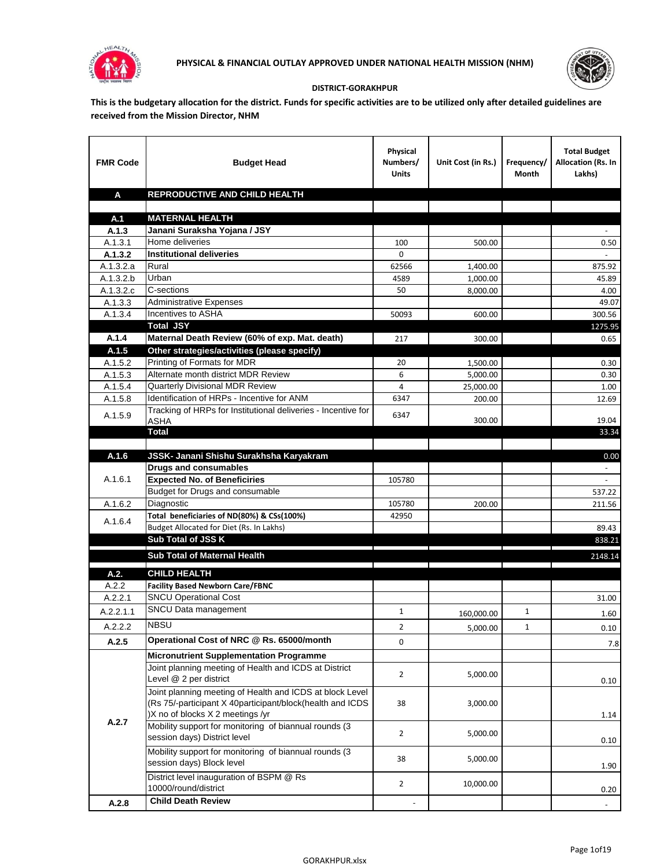



## **DISTRICT-GORAKHPUR**

**This is the budgetary allocation for the district. Funds for specific activities are to be utilized only after detailed guidelines are received from the Mission Director, NHM**

| <b>FMR Code</b>  | <b>Budget Head</b>                                                                                                                                        | Physical<br>Numbers/<br><b>Units</b> | Unit Cost (in Rs.) | Frequency/<br>Month | <b>Total Budget</b><br>Allocation (Rs. In<br>Lakhs) |
|------------------|-----------------------------------------------------------------------------------------------------------------------------------------------------------|--------------------------------------|--------------------|---------------------|-----------------------------------------------------|
| A                | REPRODUCTIVE AND CHILD HEALTH                                                                                                                             |                                      |                    |                     |                                                     |
|                  |                                                                                                                                                           |                                      |                    |                     |                                                     |
| A.1              | <b>MATERNAL HEALTH</b>                                                                                                                                    |                                      |                    |                     |                                                     |
| A.1.3<br>A.1.3.1 | Janani Suraksha Yojana / JSY<br>Home deliveries                                                                                                           | 100                                  | 500.00             |                     | 0.50                                                |
| A.1.3.2          | <b>Institutional deliveries</b>                                                                                                                           | $\Omega$                             |                    |                     |                                                     |
| A.1.3.2.a        | Rural                                                                                                                                                     | 62566                                | 1,400.00           |                     | 875.92                                              |
| A.1.3.2.b        | Urban                                                                                                                                                     | 4589                                 | 1,000.00           |                     | 45.89                                               |
| A.1.3.2.c        | C-sections                                                                                                                                                | 50                                   | 8,000.00           |                     | 4.00                                                |
| A.1.3.3          | <b>Administrative Expenses</b>                                                                                                                            |                                      |                    |                     | 49.07                                               |
| A.1.3.4          | Incentives to ASHA                                                                                                                                        | 50093                                | 600.00             |                     | 300.56                                              |
|                  | <b>Total JSY</b>                                                                                                                                          |                                      |                    |                     | 1275.95                                             |
| A.1.4            | Maternal Death Review (60% of exp. Mat. death)                                                                                                            | 217                                  | 300.00             |                     | 0.65                                                |
| A.1.5            | Other strategies/activities (please specify)                                                                                                              |                                      |                    |                     |                                                     |
| A.1.5.2          | Printing of Formats for MDR                                                                                                                               | 20                                   | 1,500.00           |                     | 0.30                                                |
| A.1.5.3          | Alternate month district MDR Review                                                                                                                       | 6                                    | 5.000.00           |                     | 0.30                                                |
| A.1.5.4          | <b>Quarterly Divisional MDR Review</b>                                                                                                                    | 4                                    | 25,000.00          |                     | 1.00                                                |
| A.1.5.8          | Identification of HRPs - Incentive for ANM                                                                                                                | 6347                                 | 200.00             |                     | 12.69                                               |
| A.1.5.9          | Tracking of HRPs for Institutional deliveries - Incentive for<br>ASHA                                                                                     | 6347                                 | 300.00             |                     | 19.04                                               |
|                  | <b>Total</b>                                                                                                                                              |                                      |                    |                     | 33.34                                               |
|                  |                                                                                                                                                           |                                      |                    |                     |                                                     |
| A.1.6            | JSSK- Janani Shishu Surakhsha Karyakram                                                                                                                   |                                      |                    |                     | 0.00                                                |
| A.1.6.1          | <b>Drugs and consumables</b><br><b>Expected No. of Beneficiries</b>                                                                                       |                                      |                    |                     | $\sim$                                              |
|                  | Budget for Drugs and consumable                                                                                                                           | 105780                               |                    |                     | 537.22                                              |
| A.1.6.2          | Diagnostic                                                                                                                                                | 105780                               | 200.00             |                     | 211.56                                              |
|                  | Total beneficiaries of ND(80%) & CSs(100%)                                                                                                                | 42950                                |                    |                     |                                                     |
| A.1.6.4          | Budget Allocated for Diet (Rs. In Lakhs)                                                                                                                  |                                      |                    |                     | 89.43                                               |
|                  | Sub Total of JSS K                                                                                                                                        |                                      |                    |                     | 838.21                                              |
|                  | Sub Total of Maternal Health                                                                                                                              |                                      |                    |                     | 2148.14                                             |
|                  |                                                                                                                                                           |                                      |                    |                     |                                                     |
| A.2.             | <b>CHILD HEALTH</b>                                                                                                                                       |                                      |                    |                     |                                                     |
| A.2.2            | <b>Facility Based Newborn Care/FBNC</b>                                                                                                                   |                                      |                    |                     |                                                     |
| A.2.2.1          | <b>SNCU Operational Cost</b>                                                                                                                              |                                      |                    |                     | 31.00                                               |
| A.2.2.1.1        | SNCU Data management                                                                                                                                      | $\mathbf{1}$                         | 160,000.00         | 1                   | 1.60                                                |
| A.2.2.2          | <b>NBSU</b>                                                                                                                                               | $\overline{2}$                       | 5,000.00           | $\mathbf{1}$        | 0.10                                                |
| A.2.5            | Operational Cost of NRC @ Rs. 65000/month                                                                                                                 | 0                                    |                    |                     | 7.8                                                 |
|                  | <b>Micronutrient Supplementation Programme</b>                                                                                                            |                                      |                    |                     |                                                     |
|                  | Joint planning meeting of Health and ICDS at District<br>Level @ 2 per district                                                                           | $\overline{2}$                       | 5,000.00           |                     | 0.10                                                |
|                  | Joint planning meeting of Health and ICDS at block Level<br>(Rs 75/-participant X 40participant/block(health and ICDS<br>)X no of blocks X 2 meetings /yr | 38                                   | 3,000.00           |                     | 1.14                                                |
| A.2.7            | Mobility support for monitoring of biannual rounds (3<br>session days) District level                                                                     | $\overline{2}$                       | 5,000.00           |                     | 0.10                                                |
|                  | Mobility support for monitoring of biannual rounds (3<br>session days) Block level                                                                        | 38                                   | 5,000.00           |                     | 1.90                                                |
|                  | District level inauguration of BSPM @ Rs<br>10000/round/district                                                                                          | $\overline{2}$                       | 10,000.00          |                     | 0.20                                                |
| A.2.8            | <b>Child Death Review</b>                                                                                                                                 |                                      |                    |                     |                                                     |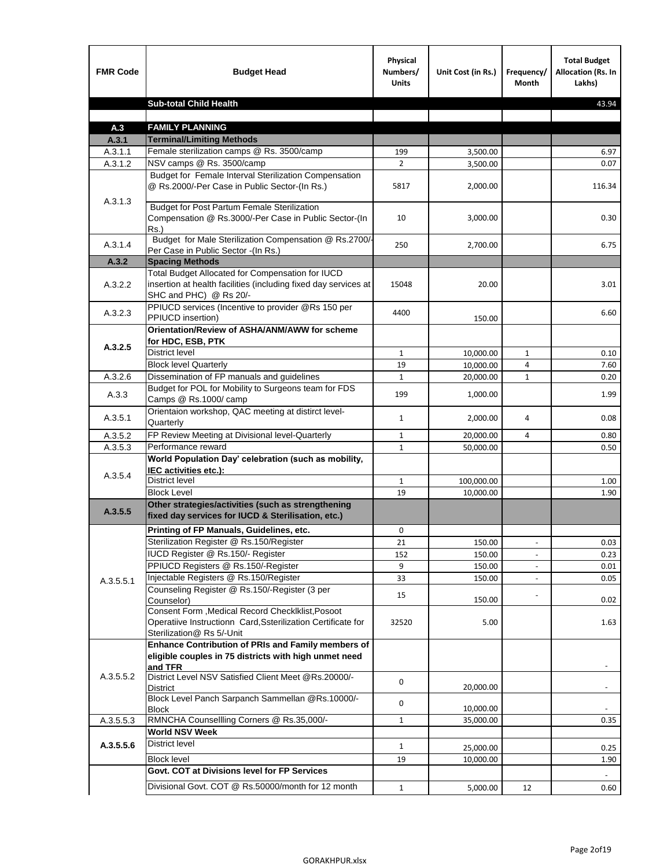| <b>FMR Code</b> | <b>Budget Head</b>                                                                                                                             | Physical<br>Numbers/<br><b>Units</b> | Unit Cost (in Rs.) | Frequency/<br><b>Month</b> | <b>Total Budget</b><br>Allocation (Rs. In<br>Lakhs) |
|-----------------|------------------------------------------------------------------------------------------------------------------------------------------------|--------------------------------------|--------------------|----------------------------|-----------------------------------------------------|
|                 | <b>Sub-total Child Health</b>                                                                                                                  |                                      |                    |                            | 43.94                                               |
|                 |                                                                                                                                                |                                      |                    |                            |                                                     |
| A.3             | <b>FAMILY PLANNING</b>                                                                                                                         |                                      |                    |                            |                                                     |
| A.3.1           | <b>Terminal/Limiting Methods</b>                                                                                                               |                                      |                    |                            |                                                     |
| A.3.1.1         | Female sterilization camps @ Rs. 3500/camp                                                                                                     | 199                                  | 3,500.00           |                            | 6.97                                                |
| A.3.1.2         | NSV camps @ Rs. 3500/camp                                                                                                                      | $\overline{2}$                       | 3,500.00           |                            | 0.07                                                |
| A.3.1.3         | Budget for Female Interval Sterilization Compensation<br>@ Rs.2000/-Per Case in Public Sector-(In Rs.)                                         | 5817                                 | 2,000.00           |                            | 116.34                                              |
|                 | <b>Budget for Post Partum Female Sterilization</b><br>Compensation @ Rs.3000/-Per Case in Public Sector-(In<br>$Rs.$ )                         | 10                                   | 3,000.00           |                            | 0.30                                                |
| A.3.1.4         | Budget for Male Sterilization Compensation @ Rs.2700/-<br>Per Case in Public Sector -(In Rs.)                                                  | 250                                  | 2,700.00           |                            | 6.75                                                |
| A.3.2           | <b>Spacing Methods</b>                                                                                                                         |                                      |                    |                            |                                                     |
| A.3.2.2         | Total Budget Allocated for Compensation for IUCD<br>insertion at health facilities (including fixed day services at<br>SHC and PHC) @ Rs 20/-  | 15048                                | 20.00              |                            | 3.01                                                |
| A.3.2.3         | PPIUCD services (Incentive to provider @Rs 150 per<br>PPIUCD insertion)                                                                        | 4400                                 | 150.00             |                            | 6.60                                                |
| A.3.2.5         | Orientation/Review of ASHA/ANM/AWW for scheme<br>for HDC, ESB, PTK                                                                             |                                      |                    |                            |                                                     |
|                 | <b>District level</b>                                                                                                                          | $\mathbf{1}$                         | 10,000.00          | $\mathbf{1}$               | 0.10                                                |
|                 | <b>Block level Quarterly</b>                                                                                                                   | 19                                   | 10,000.00          | 4                          | 7.60                                                |
| A.3.2.6         | Dissemination of FP manuals and guidelines                                                                                                     | $\mathbf{1}$                         | 20,000.00          | $\mathbf{1}$               | 0.20                                                |
| A.3.3           | Budget for POL for Mobility to Surgeons team for FDS<br>Camps @ Rs.1000/ camp                                                                  | 199                                  | 1,000.00           |                            | 1.99                                                |
| A.3.5.1         | Orientaion workshop, QAC meeting at distirct level-<br>Quarterly                                                                               | $\mathbf{1}$                         | 2,000.00           | 4                          | 0.08                                                |
| A.3.5.2         | FP Review Meeting at Divisional level-Quarterly                                                                                                | $\mathbf{1}$                         | 20,000.00          | 4                          | 0.80                                                |
| A.3.5.3         | Performance reward                                                                                                                             | $\mathbf{1}$                         | 50,000.00          |                            | 0.50                                                |
| A.3.5.4         | World Population Day' celebration (such as mobility,<br>IEC activities etc.):                                                                  |                                      |                    |                            |                                                     |
|                 | District level                                                                                                                                 | $\mathbf{1}$                         | 100,000.00         |                            | 1.00                                                |
|                 | <b>Block Level</b>                                                                                                                             | 19                                   | 10.000.00          |                            | 1.90                                                |
| A.3.5.5         | Other strategies/activities (such as strengthening<br>fixed day services for IUCD & Sterilisation, etc.)                                       |                                      |                    |                            |                                                     |
|                 | Printing of FP Manuals, Guidelines, etc.                                                                                                       | 0                                    |                    |                            |                                                     |
|                 | Sterilization Register @ Rs.150/Register                                                                                                       | 21                                   | 150.00             | $\centerdot$               | 0.03                                                |
|                 | IUCD Register @ Rs.150/- Register                                                                                                              | 152                                  | 150.00             |                            | 0.23                                                |
|                 | PPIUCD Registers @ Rs.150/-Register                                                                                                            | 9                                    | 150.00             |                            | 0.01                                                |
| A.3.5.5.1       | Injectable Registers @ Rs.150/Register                                                                                                         | 33                                   | 150.00             |                            | 0.05                                                |
|                 | Counseling Register @ Rs.150/-Register (3 per<br>Counselor)                                                                                    | 15                                   | 150.00             |                            | 0.02                                                |
|                 | Consent Form , Medical Record CheckIklist, Posoot<br>Operatiive Instructionn Card, Ssterilization Certificate for<br>Sterilization@ Rs 5/-Unit | 32520                                | 5.00               |                            | 1.63                                                |
|                 | Enhance Contribution of PRIs and Family members of<br>eligible couples in 75 districts with high unmet need<br>and TFR                         |                                      |                    |                            |                                                     |
| A.3.5.5.2       | District Level NSV Satisfied Client Meet @Rs.20000/-<br>District                                                                               | 0                                    | 20,000.00          |                            |                                                     |
|                 | Block Level Panch Sarpanch Sammellan @Rs.10000/-<br><b>Block</b>                                                                               | 0                                    | 10,000.00          |                            |                                                     |
| A.3.5.5.3       | RMNCHA Counsellling Corners @ Rs.35,000/-                                                                                                      | $\mathbf{1}$                         | 35,000.00          |                            | 0.35                                                |
|                 | <b>World NSV Week</b>                                                                                                                          |                                      |                    |                            |                                                     |
| A.3.5.5.6       | <b>District level</b>                                                                                                                          | $\mathbf{1}$                         | 25,000.00          |                            | 0.25                                                |
|                 | <b>Block level</b>                                                                                                                             | 19                                   | 10,000.00          |                            | 1.90                                                |
|                 | Govt. COT at Divisions level for FP Services                                                                                                   |                                      |                    |                            |                                                     |
|                 | Divisional Govt. COT @ Rs.50000/month for 12 month                                                                                             | $\mathbf{1}$                         | 5,000.00           | 12                         | 0.60                                                |
|                 |                                                                                                                                                |                                      |                    |                            |                                                     |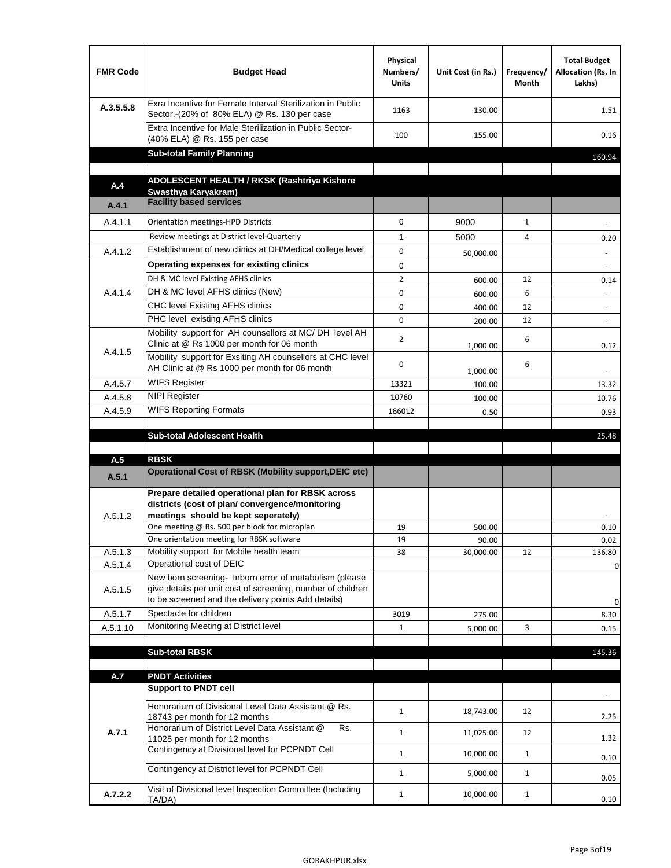| <b>FMR Code</b> | <b>Budget Head</b>                                                                                                                                                           | Physical<br>Numbers/<br><b>Units</b> | Unit Cost (in Rs.) | Frequency/<br>Month | <b>Total Budget</b><br>Allocation (Rs. In<br>Lakhs) |
|-----------------|------------------------------------------------------------------------------------------------------------------------------------------------------------------------------|--------------------------------------|--------------------|---------------------|-----------------------------------------------------|
| A.3.5.5.8       | Exra Incentive for Female Interval Sterilization in Public<br>Sector.-(20% of 80% ELA) @ Rs. 130 per case                                                                    | 1163                                 | 130.00             |                     | 1.51                                                |
|                 | Extra Incentive for Male Sterilization in Public Sector-<br>(40% ELA) @ Rs. 155 per case                                                                                     | 100                                  | 155.00             |                     | 0.16                                                |
|                 | <b>Sub-total Family Planning</b>                                                                                                                                             |                                      |                    |                     | 160.94                                              |
|                 | ADOLESCENT HEALTH / RKSK (Rashtriya Kishore                                                                                                                                  |                                      |                    |                     |                                                     |
| A.4             | Swasthya Karyakram)                                                                                                                                                          |                                      |                    |                     |                                                     |
| A.4.1           | <b>Facility based services</b>                                                                                                                                               |                                      |                    |                     |                                                     |
| A.4.1.1         | Orientation meetings-HPD Districts                                                                                                                                           | $\Omega$                             | 9000               | $\mathbf{1}$        |                                                     |
|                 | Review meetings at District level-Quarterly                                                                                                                                  | $\mathbf{1}$                         | 5000               | 4                   | 0.20                                                |
| A.4.1.2         | Establishment of new clinics at DH/Medical college level                                                                                                                     | $\Omega$                             | 50,000.00          |                     |                                                     |
|                 | Operating expenses for existing clinics                                                                                                                                      | 0                                    |                    |                     |                                                     |
|                 | DH & MC level Existing AFHS clinics                                                                                                                                          | $\overline{2}$                       | 600.00             | 12                  | 0.14                                                |
| A.4.1.4         | DH & MC level AFHS clinics (New)                                                                                                                                             | 0                                    | 600.00             | 6                   | $\overline{\phantom{a}}$                            |
|                 | CHC level Existing AFHS clinics                                                                                                                                              | 0                                    | 400.00             | 12                  | $\overline{\phantom{a}}$                            |
|                 | PHC level existing AFHS clinics                                                                                                                                              | $\Omega$                             | 200.00             | 12                  | $\sim$                                              |
| A.4.1.5         | Mobility support for AH counsellors at MC/DH level AH<br>Clinic at @ Rs 1000 per month for 06 month                                                                          | 2                                    | 1,000.00           | 6                   | 0.12                                                |
|                 | Mobility support for Exsiting AH counsellors at CHC level<br>AH Clinic at @ Rs 1000 per month for 06 month                                                                   | 0                                    | 1,000.00           | 6                   |                                                     |
| A.4.5.7         | <b>WIFS Register</b>                                                                                                                                                         | 13321                                | 100.00             |                     | 13.32                                               |
| A.4.5.8         | <b>NIPI Register</b>                                                                                                                                                         | 10760                                | 100.00             |                     | 10.76                                               |
| A.4.5.9         | <b>WIFS Reporting Formats</b>                                                                                                                                                | 186012                               | 0.50               |                     | 0.93                                                |
|                 | <b>Sub-total Adolescent Health</b>                                                                                                                                           |                                      |                    |                     | 25.48                                               |
| A.5             | <b>RBSK</b>                                                                                                                                                                  |                                      |                    |                     |                                                     |
| A.5.1           | <b>Operational Cost of RBSK (Mobility support, DEIC etc)</b>                                                                                                                 |                                      |                    |                     |                                                     |
| A.5.1.2         | Prepare detailed operational plan for RBSK across<br>districts (cost of plan/convergence/monitoring<br>meetings should be kept seperately)                                   |                                      |                    |                     |                                                     |
|                 | One meeting @ Rs. 500 per block for microplan                                                                                                                                | 19                                   | 500.00             |                     | 0.10                                                |
| A.5.1.3         | One orientation meeting for RBSK software<br>Mobility support for Mobile health team                                                                                         | 19<br>38                             | 90.00<br>30,000.00 | 12                  | 0.02<br>136.80                                      |
| A.5.1.4         | Operational cost of DEIC                                                                                                                                                     |                                      |                    |                     | $\mathbf 0$                                         |
| A.5.1.5         | New born screening- Inborn error of metabolism (please<br>give details per unit cost of screening, number of children<br>to be screened and the delivery points Add details) |                                      |                    |                     | 0                                                   |
| A.5.1.7         | Spectacle for children                                                                                                                                                       | 3019                                 | 275.00             |                     | 8.30                                                |
| A.5.1.10        | Monitoring Meeting at District level                                                                                                                                         | $\mathbf{1}$                         | 5,000.00           | 3                   | 0.15                                                |
|                 |                                                                                                                                                                              |                                      |                    |                     |                                                     |
|                 | <b>Sub-total RBSK</b>                                                                                                                                                        |                                      |                    |                     | 145.36                                              |
| A.7             | <b>PNDT Activities</b>                                                                                                                                                       |                                      |                    |                     |                                                     |
|                 | <b>Support to PNDT cell</b>                                                                                                                                                  |                                      |                    |                     |                                                     |
|                 | Honorarium of Divisional Level Data Assistant @ Rs.<br>18743 per month for 12 months                                                                                         | $\mathbf{1}$                         | 18,743.00          | 12                  | 2.25                                                |
| A.7.1           | Honorarium of District Level Data Assistant @<br>Rs.<br>11025 per month for 12 months                                                                                        | $\mathbf{1}$                         | 11,025.00          | 12                  | 1.32                                                |
|                 | Contingency at Divisional level for PCPNDT Cell                                                                                                                              | $\mathbf{1}$                         | 10,000.00          | $\mathbf{1}$        | 0.10                                                |
|                 | Contingency at District level for PCPNDT Cell                                                                                                                                | $\mathbf{1}$                         | 5,000.00           | $\mathbf{1}$        | 0.05                                                |
| A.7.2.2         | Visit of Divisional level Inspection Committee (Including<br>TA/DA)                                                                                                          | $\mathbf{1}$                         | 10,000.00          | $\mathbf{1}$        | 0.10                                                |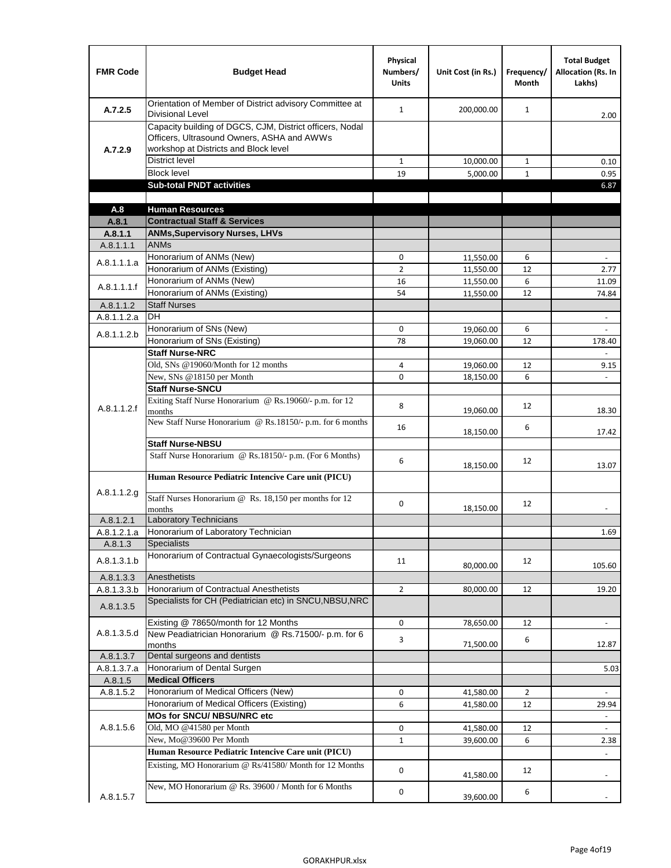| <b>FMR Code</b> | <b>Budget Head</b>                                                                                                                              | Physical<br>Numbers/<br><b>Units</b> | Unit Cost (in Rs.) | Frequency/<br>Month | <b>Total Budget</b><br><b>Allocation (Rs. In</b><br>Lakhs) |
|-----------------|-------------------------------------------------------------------------------------------------------------------------------------------------|--------------------------------------|--------------------|---------------------|------------------------------------------------------------|
| A.7.2.5         | Orientation of Member of District advisory Committee at<br><b>Divisional Level</b>                                                              | $\mathbf{1}$                         | 200,000.00         | $\mathbf{1}$        | 2.00                                                       |
| A.7.2.9         | Capacity building of DGCS, CJM, District officers, Nodal<br>Officers, Ultrasound Owners, ASHA and AWWs<br>workshop at Districts and Block level |                                      |                    |                     |                                                            |
|                 | <b>District level</b>                                                                                                                           | $\mathbf{1}$                         | 10,000.00          | $\mathbf{1}$        | 0.10                                                       |
|                 | <b>Block level</b>                                                                                                                              | 19                                   | 5,000.00           | $\mathbf{1}$        | 0.95                                                       |
|                 | <b>Sub-total PNDT activities</b>                                                                                                                |                                      |                    |                     | 6.87                                                       |
|                 |                                                                                                                                                 |                                      |                    |                     |                                                            |
| A.8             | <b>Human Resources</b>                                                                                                                          |                                      |                    |                     |                                                            |
| A.8.1           | <b>Contractual Staff &amp; Services</b>                                                                                                         |                                      |                    |                     |                                                            |
| A.8.1.1         | <b>ANMs, Supervisory Nurses, LHVs</b>                                                                                                           |                                      |                    |                     |                                                            |
| A.8.1.1.1       | <b>ANMs</b>                                                                                                                                     |                                      |                    |                     |                                                            |
| A.8.1.1.1.a     | Honorarium of ANMs (New)                                                                                                                        | 0                                    | 11,550.00          | 6                   | $\blacksquare$                                             |
|                 | Honorarium of ANMs (Existing)                                                                                                                   | $\overline{2}$                       | 11,550.00          | 12                  | 2.77                                                       |
| A.8.1.1.1.f     | Honorarium of ANMs (New)                                                                                                                        | 16                                   | 11,550.00          | 6                   | 11.09                                                      |
|                 | Honorarium of ANMs (Existing)                                                                                                                   | 54                                   | 11,550.00          | 12                  | 74.84                                                      |
| A.8.1.1.2       | <b>Staff Nurses</b>                                                                                                                             |                                      |                    |                     |                                                            |
| A.8.1.1.2.a     | <b>DH</b>                                                                                                                                       |                                      |                    |                     | $\blacksquare$                                             |
| A.8.1.1.2.b     | Honorarium of SNs (New)                                                                                                                         | 0                                    | 19,060.00          | 6                   |                                                            |
|                 | Honorarium of SNs (Existing)                                                                                                                    | 78                                   | 19,060.00          | 12                  | 178.40                                                     |
|                 | <b>Staff Nurse-NRC</b>                                                                                                                          |                                      |                    |                     | $\mathbf{r}$                                               |
|                 | Old, SNs @19060/Month for 12 months                                                                                                             | 4                                    | 19,060.00          | 12                  | 9.15                                                       |
|                 | New, SNs @18150 per Month                                                                                                                       | 0                                    | 18,150.00          | 6                   |                                                            |
|                 | <b>Staff Nurse-SNCU</b>                                                                                                                         |                                      |                    |                     |                                                            |
| A.8.1.1.2.f     | Exiting Staff Nurse Honorarium @ Rs.19060/- p.m. for 12<br>months                                                                               | 8                                    | 19,060.00          | 12                  | 18.30                                                      |
|                 | New Staff Nurse Honorarium @ Rs.18150/- p.m. for 6 months                                                                                       |                                      |                    |                     |                                                            |
|                 |                                                                                                                                                 | 16                                   | 18,150.00          | 6                   | 17.42                                                      |
|                 | <b>Staff Nurse-NBSU</b>                                                                                                                         |                                      |                    |                     |                                                            |
|                 | Staff Nurse Honorarium @ Rs.18150/- p.m. (For 6 Months)                                                                                         |                                      |                    |                     |                                                            |
|                 |                                                                                                                                                 | 6                                    | 18,150.00          | 12                  | 13.07                                                      |
|                 | Human Resource Pediatric Intencive Care unit (PICU)                                                                                             |                                      |                    |                     |                                                            |
| A.8.1.1.2.g     |                                                                                                                                                 |                                      |                    |                     |                                                            |
|                 | Staff Nurses Honorarium @ Rs. 18,150 per months for 12                                                                                          | 0                                    | 18,150.00          | 12                  |                                                            |
| A.8.1.2.1       | months<br><b>Laboratory Technicians</b>                                                                                                         |                                      |                    |                     |                                                            |
| A.8.1.2.1.a     | Honorarium of Laboratory Technician                                                                                                             |                                      |                    |                     | 1.69                                                       |
| A.8.1.3         | <b>Specialists</b>                                                                                                                              |                                      |                    |                     |                                                            |
|                 | Honorarium of Contractual Gynaecologists/Surgeons                                                                                               |                                      |                    |                     |                                                            |
| A.8.1.3.1.b     |                                                                                                                                                 | 11                                   | 80,000.00          | 12                  | 105.60                                                     |
| A.8.1.3.3       | Anesthetists                                                                                                                                    |                                      |                    |                     |                                                            |
| A.8.1.3.3.b     | Honorarium of Contractual Anesthetists                                                                                                          | $\overline{2}$                       | 80,000.00          | 12                  | 19.20                                                      |
|                 | Specialists for CH (Pediatrician etc) in SNCU, NBSU, NRC                                                                                        |                                      |                    |                     |                                                            |
| A.8.1.3.5       |                                                                                                                                                 |                                      |                    |                     |                                                            |
|                 | Existing @ 78650/month for 12 Months                                                                                                            | 0                                    | 78,650.00          | 12                  | $\blacksquare$                                             |
| A.8.1.3.5.d     | New Peadiatrician Honorarium @ Rs.71500/- p.m. for 6                                                                                            | 3                                    |                    | 6                   |                                                            |
|                 | months                                                                                                                                          |                                      | 71,500.00          |                     | 12.87                                                      |
| A.8.1.3.7       | Dental surgeons and dentists                                                                                                                    |                                      |                    |                     |                                                            |
| A.8.1.3.7.a     | Honorarium of Dental Surgen                                                                                                                     |                                      |                    |                     | 5.03                                                       |
| A.8.1.5         | <b>Medical Officers</b>                                                                                                                         |                                      |                    |                     |                                                            |
| A.8.1.5.2       | Honorarium of Medical Officers (New)                                                                                                            | 0                                    | 41,580.00          | $\overline{2}$      | $\blacksquare$                                             |
|                 | Honorarium of Medical Officers (Existing)                                                                                                       | 6                                    | 41,580.00          | 12                  | 29.94                                                      |
|                 | MOs for SNCU/ NBSU/NRC etc                                                                                                                      |                                      |                    |                     |                                                            |
| A.8.1.5.6       | Old, MO @41580 per Month                                                                                                                        | 0                                    | 41,580.00          | 12                  | $\overline{\phantom{a}}$                                   |
|                 | New, Mo@39600 Per Month                                                                                                                         | $\mathbf{1}$                         | 39,600.00          | 6                   | 2.38                                                       |
|                 | Human Resource Pediatric Intencive Care unit (PICU)                                                                                             |                                      |                    |                     |                                                            |
|                 | Existing, MO Honorarium @ Rs/41580/ Month for 12 Months                                                                                         | $\mathbf 0$                          |                    | 12                  |                                                            |
|                 |                                                                                                                                                 |                                      | 41,580.00          |                     |                                                            |
|                 | New, MO Honorarium @ Rs. 39600 / Month for 6 Months                                                                                             | 0                                    |                    | 6                   |                                                            |
| A.8.1.5.7       |                                                                                                                                                 |                                      | 39,600.00          |                     |                                                            |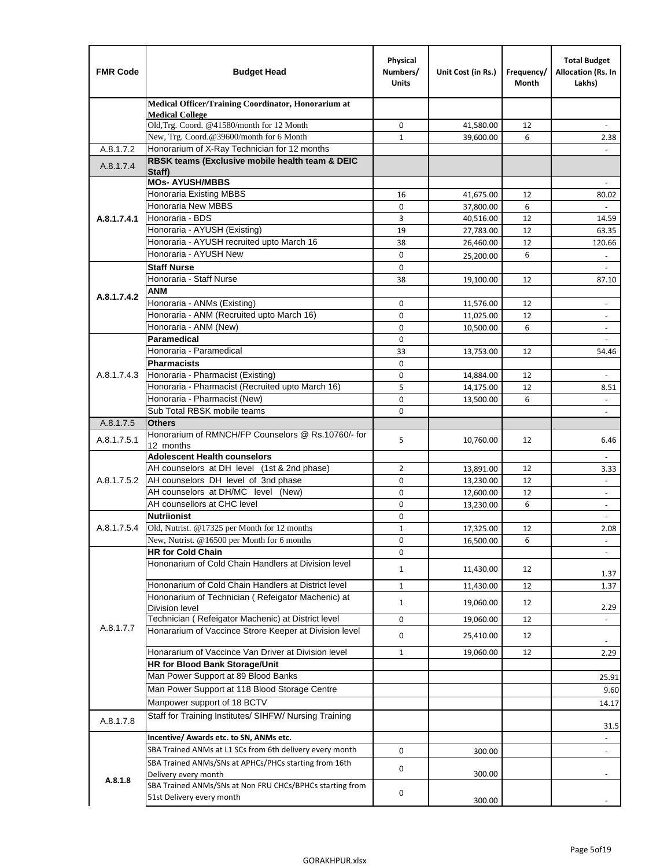| <b>FMR Code</b> | <b>Budget Head</b>                                                                    | Physical<br>Numbers/<br><b>Units</b> | Unit Cost (in Rs.)     | Frequency/<br>Month | <b>Total Budget</b><br>Allocation (Rs. In<br>Lakhs) |
|-----------------|---------------------------------------------------------------------------------------|--------------------------------------|------------------------|---------------------|-----------------------------------------------------|
|                 | Medical Officer/Training Coordinator, Honorarium at                                   |                                      |                        |                     |                                                     |
|                 | <b>Medical College</b><br>Old, Trg. Coord. @41580/month for 12 Month                  | 0                                    | 41,580.00              | 12                  |                                                     |
|                 | New, Trg. Coord.@39600/month for 6 Month                                              | $\mathbf{1}$                         | 39,600.00              | 6                   | 2.38                                                |
| A.8.1.7.2       | Honorarium of X-Ray Technician for 12 months                                          |                                      |                        |                     |                                                     |
| A.8.1.7.4       | RBSK teams (Exclusive mobile health team & DEIC<br>Staff)                             |                                      |                        |                     |                                                     |
|                 | <b>MOs- AYUSH/MBBS</b>                                                                |                                      |                        |                     |                                                     |
|                 | Honoraria Existing MBBS                                                               | 16                                   | 41,675.00              | 12                  | 80.02                                               |
|                 | <b>Honoraria New MBBS</b><br>Honoraria - BDS                                          | $\mathbf 0$                          | 37,800.00              | 6                   | ÷,                                                  |
| A.8.1.7.4.1     | Honoraria - AYUSH (Existing)                                                          | 3<br>19                              | 40,516.00<br>27,783.00 | 12<br>12            | 14.59<br>63.35                                      |
|                 | Honoraria - AYUSH recruited upto March 16                                             | 38                                   | 26,460.00              | 12                  | 120.66                                              |
|                 | Honoraria - AYUSH New                                                                 | $\mathbf 0$                          | 25,200.00              | 6                   | $\overline{\phantom{a}}$                            |
|                 | <b>Staff Nurse</b>                                                                    | $\Omega$                             |                        |                     |                                                     |
|                 | Honoraria - Staff Nurse                                                               | 38                                   | 19,100.00              | 12                  | 87.10                                               |
|                 | <b>ANM</b>                                                                            |                                      |                        |                     |                                                     |
| A.8.1.7.4.2     | Honoraria - ANMs (Existing)                                                           | $\mathbf 0$                          | 11,576.00              | 12                  | ÷,                                                  |
|                 | Honoraria - ANM (Recruited upto March 16)                                             | 0                                    | 11,025.00              | 12                  | $\blacksquare$                                      |
|                 | Honoraria - ANM (New)                                                                 | $\mathbf 0$                          | 10,500.00              | 6                   |                                                     |
|                 | Paramedical                                                                           | $\mathbf 0$                          |                        |                     | ÷,                                                  |
|                 | Honoraria - Paramedical                                                               | 33                                   | 13,753.00              | 12                  | 54.46                                               |
|                 | <b>Pharmacists</b>                                                                    | 0                                    |                        |                     |                                                     |
| A.8.1.7.4.3     | Honoraria - Pharmacist (Existing)                                                     | $\mathbf 0$                          | 14,884.00              | 12                  | $\blacksquare$                                      |
|                 | Honoraria - Pharmacist (Recruited upto March 16)                                      | 5                                    | 14,175.00              | 12                  | 8.51                                                |
|                 | Honoraria - Pharmacist (New)<br>Sub Total RBSK mobile teams                           | $\Omega$                             | 13,500.00              | 6                   | $\overline{\phantom{a}}$                            |
| A.8.1.7.5       | <b>Others</b>                                                                         | $\Omega$                             |                        |                     | $\overline{\phantom{a}}$                            |
| A.8.1.7.5.1     | Honorarium of RMNCH/FP Counselors @ Rs.10760/- for<br>12 months                       | 5                                    | 10,760.00              | 12                  | 6.46                                                |
|                 | <b>Adolescent Health counselors</b>                                                   |                                      |                        |                     | $\overline{\phantom{a}}$                            |
|                 | AH counselors at DH level (1st & 2nd phase)                                           | 2                                    | 13,891.00              | 12                  | 3.33                                                |
| A.8.1.7.5.2     | AH counselors DH level of 3nd phase                                                   | $\mathbf 0$                          | 13,230.00              | 12                  | $\blacksquare$                                      |
|                 | AH counselors at DH/MC level (New)                                                    | 0                                    | 12,600.00              | 12                  | $\overline{\phantom{a}}$                            |
|                 | AH counsellors at CHC level                                                           | $\mathbf 0$                          | 13,230.00              | 6                   | $\blacksquare$                                      |
|                 | <b>Nutriionist</b>                                                                    | $\mathbf 0$                          |                        |                     | $\overline{\phantom{a}}$                            |
| A.8.1.7.5.4     | Old, Nutrist. @17325 per Month for 12 months                                          | $\mathbf{1}$                         | 17,325.00              | 12                  | 2.08                                                |
|                 | New, Nutrist. $@16500$ per Month for 6 months                                         | 0                                    | 16,500.00              | 6                   | $\overline{\phantom{a}}$                            |
|                 | <b>HR for Cold Chain</b><br>Hononarium of Cold Chain Handlers at Division level       | 0<br>1                               | 11,430.00              | 12                  |                                                     |
|                 |                                                                                       |                                      |                        |                     | 1.37                                                |
|                 | Hononarium of Cold Chain Handlers at District level                                   | $\mathbf{1}$                         | 11,430.00              | 12                  | 1.37                                                |
|                 | Hononarium of Technician (Refeigator Machenic) at<br><b>Division level</b>            | $\mathbf{1}$                         | 19,060.00              | 12                  | 2.29                                                |
|                 | Technician (Refeigator Machenic) at District level                                    | 0                                    | 19,060.00              | 12                  | $\overline{\phantom{a}}$                            |
| A.8.1.7.7       | Honararium of Vaccince Strore Keeper at Division level                                | 0                                    | 25,410.00              | 12                  | ٠                                                   |
|                 | Honararium of Vaccince Van Driver at Division level                                   | $\mathbf{1}$                         | 19,060.00              | 12                  | 2.29                                                |
|                 | HR for Blood Bank Storage/Unit                                                        |                                      |                        |                     |                                                     |
|                 | Man Power Support at 89 Blood Banks                                                   |                                      |                        |                     | 25.91                                               |
|                 | Man Power Support at 118 Blood Storage Centre                                         |                                      |                        |                     | 9.60                                                |
|                 | Manpower support of 18 BCTV                                                           |                                      |                        |                     | 14.17                                               |
| A.8.1.7.8       | Staff for Training Institutes/ SIHFW/ Nursing Training                                |                                      |                        |                     | 31.5                                                |
|                 | Incentive/ Awards etc. to SN, ANMs etc.                                               |                                      |                        |                     | ÷,                                                  |
|                 | SBA Trained ANMs at L1 SCs from 6th delivery every month                              | 0                                    | 300.00                 |                     | $\overline{\phantom{a}}$                            |
|                 | SBA Trained ANMs/SNs at APHCs/PHCs starting from 16th<br>Delivery every month         | 0                                    | 300.00                 |                     |                                                     |
| A.8.1.8         | SBA Trained ANMs/SNs at Non FRU CHCs/BPHCs starting from<br>51st Delivery every month | 0                                    | 300.00                 |                     |                                                     |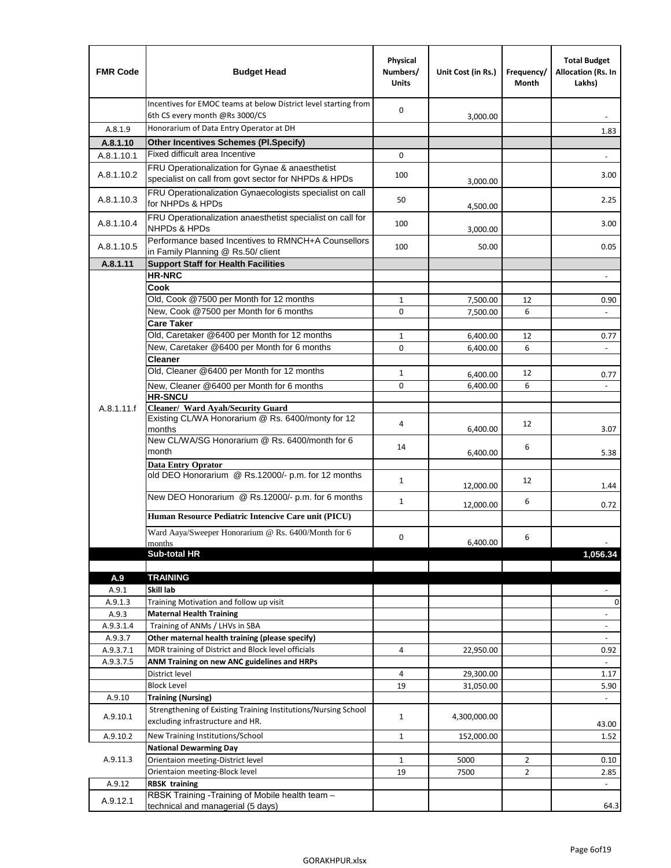| <b>FMR Code</b> | <b>Budget Head</b>                                                                                      | Physical<br>Numbers/<br><b>Units</b> | Unit Cost (in Rs.)   | Frequency/<br>Month | <b>Total Budget</b><br>Allocation (Rs. In<br>Lakhs) |
|-----------------|---------------------------------------------------------------------------------------------------------|--------------------------------------|----------------------|---------------------|-----------------------------------------------------|
|                 | Incentives for EMOC teams at below District level starting from<br>6th CS every month @Rs 3000/CS       | $\mathbf 0$                          | 3,000.00             |                     |                                                     |
| A.8.1.9         | Honorarium of Data Entry Operator at DH                                                                 |                                      |                      |                     | 1.83                                                |
| A.8.1.10        | <b>Other Incentives Schemes (PI.Specify)</b>                                                            |                                      |                      |                     |                                                     |
| A.8.1.10.1      | Fixed difficult area Incentive                                                                          | $\mathbf 0$                          |                      |                     |                                                     |
| A.8.1.10.2      | FRU Operationalization for Gynae & anaesthetist<br>specialist on call from govt sector for NHPDs & HPDs | 100                                  | 3,000.00             |                     | 3.00                                                |
| A.8.1.10.3      | FRU Operationalization Gynaecologists specialist on call<br>for NHPDs & HPDs                            | 50                                   | 4,500.00             |                     | 2.25                                                |
| A.8.1.10.4      | FRU Operationalization anaesthetist specialist on call for<br><b>NHPDs &amp; HPDs</b>                   | 100                                  | 3,000.00             |                     | 3.00                                                |
| A.8.1.10.5      | Performance based Incentives to RMNCH+A Counsellors<br>in Family Planning @ Rs.50/ client               | 100                                  | 50.00                |                     | 0.05                                                |
| A.8.1.11        | <b>Support Staff for Health Facilities</b>                                                              |                                      |                      |                     |                                                     |
|                 | <b>HR-NRC</b>                                                                                           |                                      |                      |                     | $\overline{\phantom{m}}$                            |
|                 | Cook                                                                                                    |                                      |                      |                     |                                                     |
|                 | Old, Cook @7500 per Month for 12 months                                                                 | $\mathbf{1}$                         | 7,500.00             | 12                  | 0.90                                                |
|                 | New, Cook @7500 per Month for 6 months                                                                  | 0                                    | 7,500.00             | 6                   | $\Box$                                              |
|                 | <b>Care Taker</b>                                                                                       |                                      |                      |                     |                                                     |
|                 | Old, Caretaker @6400 per Month for 12 months<br>New, Caretaker @6400 per Month for 6 months             | $\mathbf{1}$<br>0                    | 6,400.00             | 12<br>6             | 0.77<br>÷,                                          |
|                 | <b>Cleaner</b>                                                                                          |                                      | 6,400.00             |                     |                                                     |
|                 | Old, Cleaner @6400 per Month for 12 months                                                              | $\mathbf{1}$                         |                      | 12                  |                                                     |
|                 | New, Cleaner @6400 per Month for 6 months                                                               | $\mathbf 0$                          | 6,400.00<br>6,400.00 | 6                   | 0.77                                                |
|                 | <b>HR-SNCU</b>                                                                                          |                                      |                      |                     |                                                     |
| A.8.1.11.f      | Cleaner/ Ward Ayah/Security Guard                                                                       |                                      |                      |                     |                                                     |
|                 | Existing CL/WA Honorarium @ Rs. 6400/monty for 12<br>months                                             | 4                                    | 6,400.00             | 12                  | 3.07                                                |
|                 | New CL/WA/SG Honorarium @ Rs. 6400/month for 6<br>month                                                 | 14                                   | 6,400.00             | 6                   | 5.38                                                |
|                 | <b>Data Entry Oprator</b>                                                                               |                                      |                      |                     |                                                     |
|                 | old DEO Honorarium @ Rs.12000/- p.m. for 12 months<br>New DEO Honorarium @ Rs.12000/- p.m. for 6 months | $\mathbf{1}$                         | 12,000.00            | 12                  | 1.44                                                |
|                 |                                                                                                         | $\mathbf{1}$                         | 12,000.00            | 6                   | 0.72                                                |
|                 | Human Resource Pediatric Intencive Care unit (PICU)                                                     |                                      |                      |                     |                                                     |
|                 | Ward Aaya/Sweeper Honorarium @ Rs. 6400/Month for 6                                                     | 0                                    |                      |                     |                                                     |
|                 | months                                                                                                  |                                      | 6,400.00             | 6                   |                                                     |
|                 | Sub-total HR                                                                                            |                                      |                      |                     | 1,056.34                                            |
|                 |                                                                                                         |                                      |                      |                     |                                                     |
| A.9<br>A.9.1    | <b>TRAINING</b><br>Skill lab                                                                            |                                      |                      |                     |                                                     |
| A.9.1.3         | Training Motivation and follow up visit                                                                 |                                      |                      |                     | 0                                                   |
| A.9.3           | <b>Maternal Health Training</b>                                                                         |                                      |                      |                     | $\blacksquare$                                      |
| A.9.3.1.4       | Training of ANMs / LHVs in SBA                                                                          |                                      |                      |                     | $\overline{\phantom{a}}$                            |
| A.9.3.7         | Other maternal health training (please specify)                                                         |                                      |                      |                     |                                                     |
| A.9.3.7.1       | MDR training of District and Block level officials                                                      | 4                                    | 22,950.00            |                     | 0.92                                                |
| A.9.3.7.5       | ANM Training on new ANC guidelines and HRPs                                                             |                                      |                      |                     |                                                     |
|                 | District level                                                                                          | 4                                    | 29,300.00            |                     | 1.17                                                |
|                 | <b>Block Level</b>                                                                                      | 19                                   | 31,050.00            |                     | 5.90                                                |
| A.9.10          | <b>Training (Nursing)</b>                                                                               |                                      |                      |                     | $\blacksquare$                                      |
| A.9.10.1        | Strengthening of Existing Training Institutions/Nursing School<br>excluding infrastructure and HR.      | $\mathbf{1}$                         | 4,300,000.00         |                     | 43.00                                               |
| A.9.10.2        | New Training Institutions/School                                                                        | $\mathbf{1}$                         | 152,000.00           |                     | 1.52                                                |
|                 | <b>National Dewarming Day</b>                                                                           |                                      |                      |                     |                                                     |
| A.9.11.3        | Orientaion meeting-District level                                                                       | 1                                    | 5000                 | $\overline{2}$      | 0.10                                                |
|                 | Orientaion meeting-Block level                                                                          | 19                                   | 7500                 | $\overline{2}$      | 2.85                                                |
| A.9.12          | <b>RBSK training</b><br>RBSK Training -Training of Mobile health team -                                 |                                      |                      |                     |                                                     |
| A.9.12.1        | technical and managerial (5 days)                                                                       |                                      |                      |                     | 64.3                                                |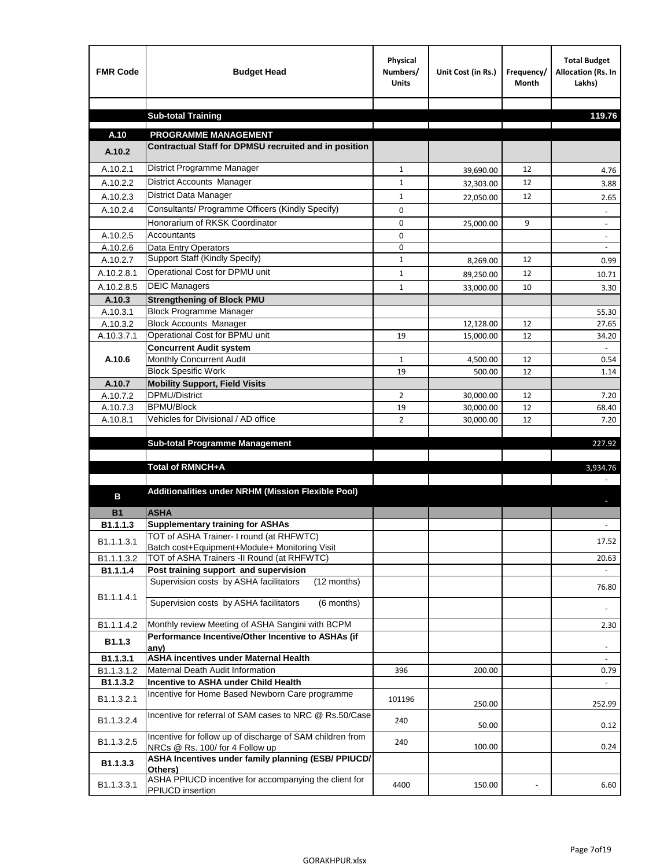| <b>FMR Code</b>      | <b>Budget Head</b>                                                                             | Physical<br>Numbers/<br><b>Units</b> | Unit Cost (in Rs.)     | Frequency/<br><b>Month</b> | <b>Total Budget</b><br>Allocation (Rs. In<br>Lakhs) |
|----------------------|------------------------------------------------------------------------------------------------|--------------------------------------|------------------------|----------------------------|-----------------------------------------------------|
|                      |                                                                                                |                                      |                        |                            |                                                     |
|                      | <b>Sub-total Training</b>                                                                      |                                      |                        |                            | 119.76                                              |
| A.10                 | <b>PROGRAMME MANAGEMENT</b>                                                                    |                                      |                        |                            |                                                     |
| A.10.2               | Contractual Staff for DPMSU recruited and in position                                          |                                      |                        |                            |                                                     |
| A.10.2.1             | District Programme Manager                                                                     | $\mathbf{1}$                         |                        | 12                         |                                                     |
| A.10.2.2             | District Accounts Manager                                                                      | 1                                    | 39,690.00              | 12                         | 4.76                                                |
| A.10.2.3             | District Data Manager                                                                          | $\mathbf{1}$                         | 32,303.00              | 12                         | 3.88                                                |
| A.10.2.4             | Consultants/ Programme Officers (Kindly Specify)                                               | $\mathbf 0$                          | 22,050.00              |                            | 2.65                                                |
|                      | Honorarium of RKSK Coordinator                                                                 | 0                                    |                        | 9                          |                                                     |
| A.10.2.5             | Accountants                                                                                    | 0                                    | 25,000.00              |                            | $\overline{\phantom{a}}$                            |
| A.10.2.6             | Data Entry Operators                                                                           | 0                                    |                        |                            | $\overline{\phantom{a}}$                            |
| A.10.2.7             | Support Staff (Kindly Specify)                                                                 | $\mathbf 1$                          | 8,269.00               | 12                         | 0.99                                                |
| A.10.2.8.1           | Operational Cost for DPMU unit                                                                 | $\mathbf{1}$                         | 89,250.00              | 12                         | 10.71                                               |
| A.10.2.8.5           | <b>DEIC Managers</b>                                                                           | $\mathbf{1}$                         | 33,000.00              | 10                         | 3.30                                                |
| A.10.3               | <b>Strengthening of Block PMU</b>                                                              |                                      |                        |                            |                                                     |
| A.10.3.1             | <b>Block Programme Manager</b>                                                                 |                                      |                        |                            | 55.30                                               |
| A.10.3.2             | <b>Block Accounts Manager</b>                                                                  |                                      | 12,128.00              | 12                         | 27.65                                               |
| A.10.3.7.1           | Operational Cost for BPMU unit                                                                 | 19                                   | 15,000.00              | 12                         | 34.20                                               |
|                      | <b>Concurrent Audit system</b>                                                                 |                                      |                        |                            |                                                     |
| A.10.6               | Monthly Concurrent Audit                                                                       | $\mathbf{1}$                         | 4,500.00               | 12                         | 0.54                                                |
|                      | <b>Block Spesific Work</b>                                                                     | 19                                   | 500.00                 | 12                         | 1.14                                                |
| A.10.7               | <b>Mobility Support, Field Visits</b><br><b>DPMU/District</b>                                  |                                      |                        |                            |                                                     |
| A.10.7.2<br>A.10.7.3 | <b>BPMU/Block</b>                                                                              | 2<br>19                              | 30,000.00<br>30,000.00 | 12<br>12                   | 7.20<br>68.40                                       |
| A.10.8.1             | Vehicles for Divisional / AD office                                                            | $\overline{2}$                       | 30,000.00              | 12                         | 7.20                                                |
|                      |                                                                                                |                                      |                        |                            |                                                     |
|                      | <b>Sub-total Programme Management</b>                                                          |                                      |                        |                            | 227.92                                              |
|                      |                                                                                                |                                      |                        |                            |                                                     |
|                      | Total of RMNCH+A                                                                               |                                      |                        |                            | 3,934.76                                            |
|                      |                                                                                                |                                      |                        |                            |                                                     |
| в                    | Additionalities under NRHM (Mission Flexible Pool)                                             |                                      |                        |                            |                                                     |
| <b>B1</b>            | <b>ASHA</b>                                                                                    |                                      |                        |                            |                                                     |
| B1.1.1.3             | <b>Supplementary training for ASHAs</b>                                                        |                                      |                        |                            |                                                     |
| B1.1.1.3.1           | TOT of ASHA Trainer- I round (at RHFWTC)                                                       |                                      |                        |                            | 17.52                                               |
|                      | Batch cost+Equipment+Module+ Monitoring Visit                                                  |                                      |                        |                            |                                                     |
| B1.1.1.3.2           | TOT of ASHA Trainers -II Round (at RHFWTC)                                                     |                                      |                        |                            | 20.63                                               |
| B1.1.1.4             | Post training support and supervision<br>Supervision costs by ASHA facilitators<br>(12 months) |                                      |                        |                            | $\sim$                                              |
|                      |                                                                                                |                                      |                        |                            | 76.80                                               |
| B1.1.1.4.1           | Supervision costs by ASHA facilitators<br>(6 months)                                           |                                      |                        |                            |                                                     |
|                      |                                                                                                |                                      |                        |                            |                                                     |
| B1.1.1.4.2           | Monthly review Meeting of ASHA Sangini with BCPM                                               |                                      |                        |                            | 2.30                                                |
| B <sub>1.1.3</sub>   | Performance Incentive/Other Incentive to ASHAs (if<br>any)                                     |                                      |                        |                            |                                                     |
| B1.1.3.1             | <b>ASHA incentives under Maternal Health</b>                                                   |                                      |                        |                            |                                                     |
| B1.1.3.1.2           | Maternal Death Audit Information                                                               | 396                                  | 200.00                 |                            | 0.79                                                |
| B1.1.3.2             | Incentive to ASHA under Child Health                                                           |                                      |                        |                            | $\omega$                                            |
| B1.1.3.2.1           | Incentive for Home Based Newborn Care programme                                                | 101196                               | 250.00                 |                            | 252.99                                              |
| B1.1.3.2.4           | Incentive for referral of SAM cases to NRC @ Rs.50/Case                                        | 240                                  | 50.00                  |                            | 0.12                                                |
| B1.1.3.2.5           | Incentive for follow up of discharge of SAM children from<br>NRCs @ Rs. 100/ for 4 Follow up   | 240                                  | 100.00                 |                            | 0.24                                                |
| B1.1.3.3             | ASHA Incentives under family planning (ESB/ PPIUCD/<br>Others)                                 |                                      |                        |                            |                                                     |
| B1.1.3.3.1           | ASHA PPIUCD incentive for accompanying the client for<br>PPIUCD insertion                      | 4400                                 | 150.00                 |                            | 6.60                                                |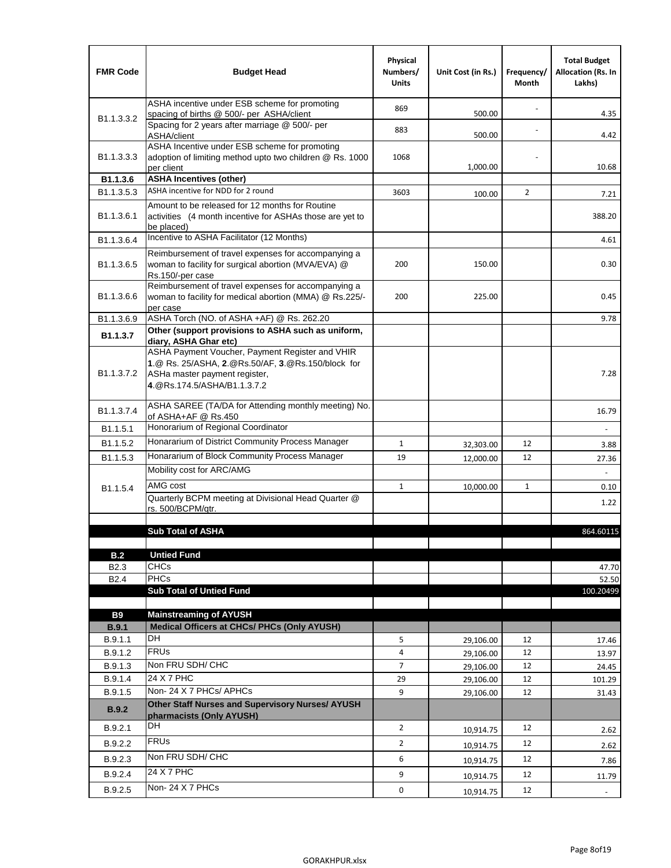| <b>FMR Code</b>            | <b>Budget Head</b>                                                                                                                                                    | Physical<br>Numbers/<br><b>Units</b> | Unit Cost (in Rs.) | Frequency/<br>Month | <b>Total Budget</b><br><b>Allocation (Rs. In</b><br>Lakhs) |
|----------------------------|-----------------------------------------------------------------------------------------------------------------------------------------------------------------------|--------------------------------------|--------------------|---------------------|------------------------------------------------------------|
|                            | ASHA incentive under ESB scheme for promoting<br>spacing of births @ 500/- per ASHA/client                                                                            | 869                                  | 500.00             |                     | 4.35                                                       |
| B <sub>1.1</sub> , 3, 3, 2 | Spacing for 2 years after marriage @ 500/- per<br>ASHA/client                                                                                                         | 883                                  | 500.00             |                     | 4.42                                                       |
| B1.1.3.3.3                 | ASHA Incentive under ESB scheme for promoting<br>adoption of limiting method upto two children @ Rs. 1000<br>per client                                               | 1068                                 | 1,000.00           |                     | 10.68                                                      |
| B1.1.3.6                   | <b>ASHA Incentives (other)</b>                                                                                                                                        |                                      |                    |                     |                                                            |
| B <sub>1.1</sub> , 3, 5, 3 | ASHA incentive for NDD for 2 round                                                                                                                                    | 3603                                 | 100.00             | $\overline{2}$      | 7.21                                                       |
| B <sub>1.1</sub> .3.6.1    | Amount to be released for 12 months for Routine<br>activities (4 month incentive for ASHAs those are yet to<br>be placed)                                             |                                      |                    |                     | 388.20                                                     |
| B1.1.3.6.4                 | Incentive to ASHA Facilitator (12 Months)                                                                                                                             |                                      |                    |                     | 4.61                                                       |
| B <sub>1.1</sub> .3.6.5    | Reimbursement of travel expenses for accompanying a<br>woman to facility for surgical abortion (MVA/EVA) @<br>Rs.150/-per case                                        | 200                                  | 150.00             |                     | 0.30                                                       |
| B <sub>1.1</sub> .3.6.6    | Reimbursement of travel expenses for accompanying a<br>woman to facility for medical abortion (MMA) @ Rs.225/-<br>per case                                            | 200                                  | 225.00             |                     | 0.45                                                       |
| B1.1.3.6.9                 | ASHA Torch (NO. of ASHA +AF) @ Rs. 262.20                                                                                                                             |                                      |                    |                     | 9.78                                                       |
| B1.1.3.7                   | Other (support provisions to ASHA such as uniform,<br>diary, ASHA Ghar etc)                                                                                           |                                      |                    |                     |                                                            |
| B <sub>1.1</sub> .3.7.2    | ASHA Payment Voucher, Payment Register and VHIR<br>1.@ Rs. 25/ASHA, 2.@Rs.50/AF, 3.@Rs.150/block for<br>ASHa master payment register,<br>4. @Rs.174.5/ASHA/B1.1.3.7.2 |                                      |                    |                     | 7.28                                                       |
| B <sub>1.1</sub> , 3, 7, 4 | ASHA SAREE (TA/DA for Attending monthly meeting) No.<br>of ASHA+AF @ Rs.450                                                                                           |                                      |                    |                     | 16.79                                                      |
| B <sub>1.1</sub> .5.1      | Honorarium of Regional Coordinator                                                                                                                                    |                                      |                    |                     |                                                            |
| B <sub>1.1.5.2</sub>       | Honararium of District Community Process Manager                                                                                                                      | $\mathbf{1}$                         | 32,303.00          | 12                  | 3.88                                                       |
| B1.1.5.3                   | Honararium of Block Community Process Manager                                                                                                                         | 19                                   | 12,000.00          | 12                  | 27.36                                                      |
|                            | Mobility cost for ARC/AMG                                                                                                                                             |                                      |                    |                     |                                                            |
| B <sub>1.1.5.4</sub>       | AMG cost                                                                                                                                                              | $\mathbf{1}$                         | 10,000.00          | 1                   | 0.10                                                       |
|                            | Quarterly BCPM meeting at Divisional Head Quarter @<br>rs. 500/BCPM/qtr.                                                                                              |                                      |                    |                     | 1.22                                                       |
|                            |                                                                                                                                                                       |                                      |                    |                     |                                                            |
|                            | <b>Sub Total of ASHA</b>                                                                                                                                              |                                      |                    |                     | 864.60115                                                  |
| B.2                        | <b>Untied Fund</b>                                                                                                                                                    |                                      |                    |                     |                                                            |
| B <sub>2.3</sub>           | <b>CHCs</b>                                                                                                                                                           |                                      |                    |                     | 47.70                                                      |
| B <sub>2.4</sub>           | PHCs                                                                                                                                                                  |                                      |                    |                     | 52.50                                                      |
|                            | <b>Sub Total of Untied Fund</b>                                                                                                                                       |                                      |                    |                     | 100.20499                                                  |
| <b>B9</b>                  | <b>Mainstreaming of AYUSH</b>                                                                                                                                         |                                      |                    |                     |                                                            |
| B.9.1                      | Medical Officers at CHCs/ PHCs (Only AYUSH)                                                                                                                           |                                      |                    |                     |                                                            |
| B.9.1.1                    | <b>DH</b>                                                                                                                                                             | 5                                    | 29,106.00          | 12                  | 17.46                                                      |
| B.9.1.2                    | <b>FRUs</b>                                                                                                                                                           | 4                                    | 29,106.00          | 12                  | 13.97                                                      |
| B.9.1.3                    | Non FRU SDH/ CHC                                                                                                                                                      | 7                                    | 29,106.00          | 12                  | 24.45                                                      |
| B.9.1.4                    | 24 X 7 PHC                                                                                                                                                            | 29                                   | 29,106.00          | 12                  | 101.29                                                     |
| B.9.1.5                    | Non-24 X 7 PHCs/ APHCs                                                                                                                                                | 9                                    | 29,106.00          | 12                  | 31.43                                                      |
| B.9.2                      | Other Staff Nurses and Supervisory Nurses/ AYUSH<br>pharmacists (Only AYUSH)                                                                                          |                                      |                    |                     |                                                            |
| B.9.2.1                    | DH                                                                                                                                                                    | $\overline{2}$                       | 10,914.75          | 12                  | 2.62                                                       |
| B.9.2.2                    | <b>FRUs</b>                                                                                                                                                           | $\overline{2}$                       | 10,914.75          | 12                  | 2.62                                                       |
| B.9.2.3                    | Non FRU SDH/ CHC                                                                                                                                                      | 6                                    | 10,914.75          | 12                  | 7.86                                                       |
| B.9.2.4                    | 24 X 7 PHC                                                                                                                                                            | 9                                    | 10,914.75          | 12                  | 11.79                                                      |
| B.9.2.5                    | Non-24 X 7 PHCs                                                                                                                                                       | 0                                    | 10,914.75          | 12                  | $\overline{\phantom{a}}$                                   |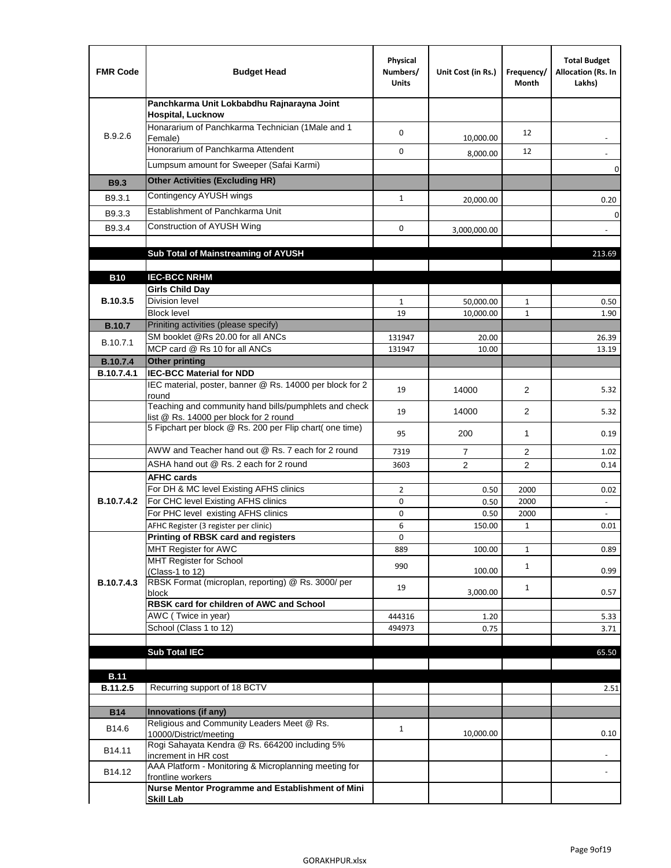| <b>FMR Code</b>         | <b>Budget Head</b>                                                                              | Physical<br>Numbers/<br><b>Units</b> | Unit Cost (in Rs.) | Frequency/<br>Month  | <b>Total Budget</b><br>Allocation (Rs. In<br>Lakhs) |
|-------------------------|-------------------------------------------------------------------------------------------------|--------------------------------------|--------------------|----------------------|-----------------------------------------------------|
|                         | Panchkarma Unit Lokbabdhu Rajnarayna Joint<br><b>Hospital, Lucknow</b>                          |                                      |                    |                      |                                                     |
| B.9.2.6                 | Honararium of Panchkarma Technician (1Male and 1<br>Female)                                     | 0                                    | 10,000.00          | 12                   |                                                     |
|                         | Honorarium of Panchkarma Attendent                                                              | $\mathbf 0$                          | 8,000.00           | 12                   |                                                     |
|                         | Lumpsum amount for Sweeper (Safai Karmi)                                                        |                                      |                    |                      | 0                                                   |
| <b>B9.3</b>             | <b>Other Activities (Excluding HR)</b>                                                          |                                      |                    |                      |                                                     |
| B9.3.1                  | Contingency AYUSH wings                                                                         | $\mathbf{1}$                         | 20,000.00          |                      | 0.20                                                |
| B9.3.3                  | Establishment of Panchkarma Unit                                                                |                                      |                    |                      | $\mathbf 0$                                         |
| B9.3.4                  | Construction of AYUSH Wing                                                                      | 0                                    | 3,000,000.00       |                      |                                                     |
|                         |                                                                                                 |                                      |                    |                      |                                                     |
|                         | Sub Total of Mainstreaming of AYUSH                                                             |                                      |                    |                      | 213.69                                              |
|                         |                                                                                                 |                                      |                    |                      |                                                     |
| <b>B10</b>              | <b>IEC-BCC NRHM</b>                                                                             |                                      |                    |                      |                                                     |
| B.10.3.5                | <b>Girls Child Day</b><br><b>Division level</b>                                                 | 1                                    | 50,000.00          | 1                    | 0.50                                                |
|                         | <b>Block level</b>                                                                              | 19                                   | 10,000.00          | $\mathbf{1}$         | 1.90                                                |
| <b>B.10.7</b>           | Priniting activities (please specify)                                                           |                                      |                    |                      |                                                     |
|                         | SM booklet @Rs 20.00 for all ANCs                                                               | 131947                               | 20.00              |                      | 26.39                                               |
| B.10.7.1                | MCP card @ Rs 10 for all ANCs                                                                   | 131947                               | 10.00              |                      | 13.19                                               |
| <b>B.10.7.4</b>         | <b>Other printing</b>                                                                           |                                      |                    |                      |                                                     |
| B.10.7.4.1              | <b>IEC-BCC Material for NDD</b>                                                                 |                                      |                    |                      |                                                     |
|                         | IEC material, poster, banner @ Rs. 14000 per block for 2<br>round                               | 19                                   | 14000              | $\overline{2}$       | 5.32                                                |
|                         | Teaching and community hand bills/pumphlets and check<br>list @ Rs. 14000 per block for 2 round | 19                                   | 14000              | 2                    | 5.32                                                |
|                         | 5 Fipchart per block @ Rs. 200 per Flip chart( one time)                                        | 95                                   | 200                | $\mathbf{1}$         | 0.19                                                |
|                         | AWW and Teacher hand out @ Rs. 7 each for 2 round                                               | 7319                                 | $\overline{7}$     | $\overline{2}$       | 1.02                                                |
|                         | ASHA hand out @ Rs. 2 each for 2 round                                                          | 3603                                 | $\overline{2}$     | 2                    | 0.14                                                |
|                         | <b>AFHC cards</b>                                                                               |                                      |                    |                      |                                                     |
|                         | For DH & MC level Existing AFHS clinics                                                         | $\overline{2}$                       | 0.50               | 2000                 | 0.02                                                |
| <b>B.10.7.4.2</b>       | For CHC level Existing AFHS clinics<br>For PHC level existing AFHS clinics                      | 0                                    | 0.50               | 2000                 | $\overline{\phantom{a}}$                            |
|                         | AFHC Register (3 register per clinic)                                                           | 0<br>6                               | 0.50<br>150.00     | 2000<br>$\mathbf{1}$ | $\omega$<br>0.01                                    |
|                         | Printing of RBSK card and registers                                                             | 0                                    |                    |                      |                                                     |
|                         | MHT Register for AWC                                                                            | 889                                  | 100.00             | $\mathbf{1}$         | 0.89                                                |
|                         | MHT Register for School                                                                         | 990                                  |                    | $\mathbf{1}$         |                                                     |
|                         | (Class-1 to 12)                                                                                 |                                      | 100.00             |                      | 0.99                                                |
| B.10.7.4.3              | RBSK Format (microplan, reporting) @ Rs. 3000/ per<br>block                                     | 19                                   | 3,000.00           | $\mathbf{1}$         | 0.57                                                |
|                         | RBSK card for children of AWC and School                                                        |                                      |                    |                      |                                                     |
|                         | AWC (Twice in year)                                                                             | 444316                               | 1.20               |                      | 5.33                                                |
|                         | School (Class 1 to 12)                                                                          | 494973                               | 0.75               |                      | 3.71                                                |
|                         |                                                                                                 |                                      |                    |                      |                                                     |
|                         | <b>Sub Total IEC</b>                                                                            |                                      |                    |                      | 65.50                                               |
|                         |                                                                                                 |                                      |                    |                      |                                                     |
| <b>B.11</b><br>B.11.2.5 | Recurring support of 18 BCTV                                                                    |                                      |                    |                      | 2.51                                                |
|                         |                                                                                                 |                                      |                    |                      |                                                     |
| <b>B14</b>              | Innovations (if any)                                                                            |                                      |                    |                      |                                                     |
| B14.6                   | Religious and Community Leaders Meet @ Rs.<br>10000/District/meeting                            | $\mathbf{1}$                         | 10,000.00          |                      | 0.10                                                |
| B14.11                  | Rogi Sahayata Kendra @ Rs. 664200 including 5%                                                  |                                      |                    |                      |                                                     |
|                         | increment in HR cost                                                                            |                                      |                    |                      |                                                     |
| B14.12                  | AAA Platform - Monitoring & Microplanning meeting for<br>frontline workers                      |                                      |                    |                      |                                                     |
|                         | Nurse Mentor Programme and Establishment of Mini<br><b>Skill Lab</b>                            |                                      |                    |                      |                                                     |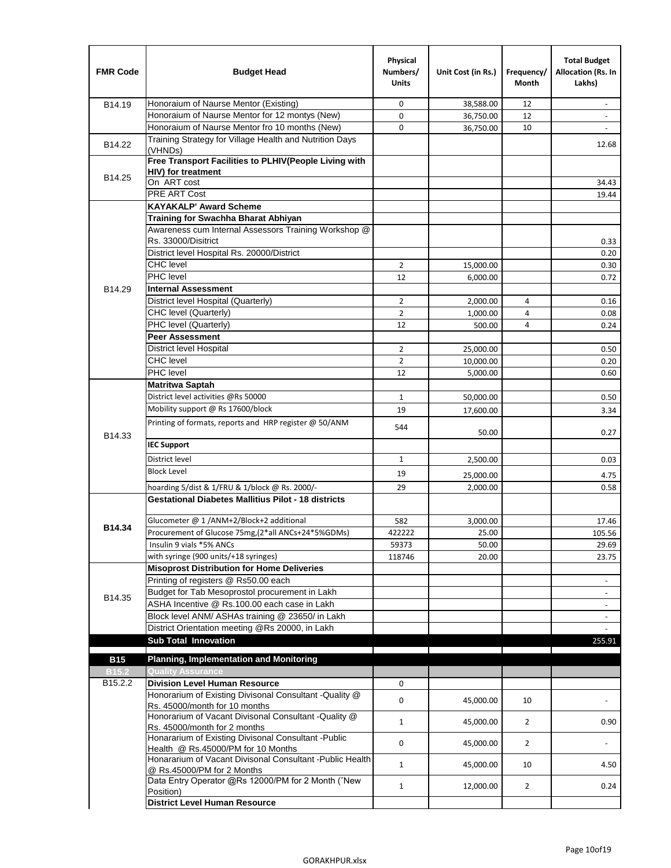| <b>FMR Code</b>                     | <b>Budget Head</b>                                                                      | Physical<br>Numbers/<br><b>Units</b> | Unit Cost (in Rs.)    | Frequency/<br>Month | <b>Total Budget</b><br>Allocation (Rs. In<br>Lakhs) |
|-------------------------------------|-----------------------------------------------------------------------------------------|--------------------------------------|-----------------------|---------------------|-----------------------------------------------------|
| B14.19                              | Honoraium of Naurse Mentor (Existing)                                                   | 0                                    | 38,588.00             | 12                  |                                                     |
|                                     | Honoraium of Naurse Mentor for 12 montys (New)                                          | 0                                    | 36,750.00             | 12                  | $\overline{a}$                                      |
|                                     | Honoraium of Naurse Mentor fro 10 months (New)                                          | 0                                    | 36,750.00             | 10                  | $\blacksquare$                                      |
| B14.22                              | Training Strategy for Village Health and Nutrition Days<br>(VHNDs)                      |                                      |                       |                     | 12.68                                               |
|                                     | Free Transport Facilities to PLHIV(People Living with                                   |                                      |                       |                     |                                                     |
| B14.25                              | HIV) for treatment                                                                      |                                      |                       |                     |                                                     |
|                                     | On ART cost                                                                             |                                      |                       |                     | 34.43                                               |
|                                     | PRE ART Cost                                                                            |                                      |                       |                     | 19.44                                               |
|                                     | <b>KAYAKALP' Award Scheme</b>                                                           |                                      |                       |                     |                                                     |
|                                     | Training for Swachha Bharat Abhiyan                                                     |                                      |                       |                     |                                                     |
|                                     | Awareness cum Internal Assessors Training Workshop @                                    |                                      |                       |                     |                                                     |
|                                     | Rs. 33000/Disitrict                                                                     |                                      |                       |                     | 0.33                                                |
|                                     | District level Hospital Rs. 20000/District<br><b>CHC</b> level                          |                                      |                       |                     | 0.20                                                |
|                                     | PHC level                                                                               | 2                                    | 15,000.00             |                     | 0.30                                                |
| B14.29                              | <b>Internal Assessment</b>                                                              | 12                                   | 6,000.00              |                     | 0.72                                                |
|                                     | District level Hospital (Quarterly)                                                     | $\overline{2}$                       |                       |                     |                                                     |
|                                     |                                                                                         | $\overline{2}$                       | 2,000.00              | 4<br>$\overline{4}$ | 0.16                                                |
|                                     | CHC level (Quarterly)<br>PHC level (Quarterly)                                          | 12                                   | 1,000.00              | 4                   | 0.08                                                |
|                                     | <b>Peer Assessment</b>                                                                  |                                      | 500.00                |                     | 0.24                                                |
|                                     | <b>District level Hospital</b>                                                          |                                      |                       |                     |                                                     |
|                                     | <b>CHC</b> level                                                                        | 2<br>$\overline{2}$                  | 25,000.00             |                     | 0.50                                                |
|                                     | PHC level                                                                               | 12                                   | 10,000.00<br>5,000.00 |                     | 0.20<br>0.60                                        |
|                                     | <b>Matritwa Saptah</b>                                                                  |                                      |                       |                     |                                                     |
|                                     | District level activities @Rs 50000                                                     | $\mathbf{1}$                         | 50,000.00             |                     | 0.50                                                |
|                                     | Mobility support @ Rs 17600/block                                                       |                                      |                       |                     |                                                     |
|                                     |                                                                                         | 19                                   | 17,600.00             |                     | 3.34                                                |
| B14.33                              | Printing of formats, reports and HRP register @ 50/ANM                                  | 544                                  | 50.00                 |                     | 0.27                                                |
|                                     | <b>IEC Support</b>                                                                      |                                      |                       |                     |                                                     |
|                                     | District level                                                                          | 1                                    | 2,500.00              |                     | 0.03                                                |
|                                     | <b>Block Level</b>                                                                      | 19                                   | 25,000.00             |                     | 4.75                                                |
|                                     | hoarding 5/dist & 1/FRU & 1/block @ Rs. 2000/-                                          | 29                                   | 2,000.00              |                     | 0.58                                                |
|                                     | <b>Gestational Diabetes Mallitius Pilot - 18 districts</b>                              |                                      |                       |                     |                                                     |
|                                     | Glucometer @ 1 /ANM+2/Block+2 additional                                                | 582                                  | 3,000.00              |                     | 17.46                                               |
| B14.34                              | Procurement of Glucose 75mg, (2*all ANCs+24*5%GDMs)                                     | 422222                               | 25.00                 |                     | 105.56                                              |
|                                     | Insulin 9 vials *5% ANCs                                                                | 59373                                | 50.00                 |                     | 29.69                                               |
|                                     | with syringe (900 units/+18 syringes)                                                   | 118746                               | 20.00                 |                     | 23.75                                               |
|                                     | <b>Misoprost Distribution for Home Deliveries</b>                                       |                                      |                       |                     |                                                     |
|                                     | Printing of registers @ Rs50.00 each                                                    |                                      |                       |                     | $\overline{\phantom{a}}$                            |
|                                     | Budget for Tab Mesoprostol procurement in Lakh                                          |                                      |                       |                     | $\blacksquare$                                      |
| B14.35                              | ASHA Incentive @ Rs.100.00 each case in Lakh                                            |                                      |                       |                     | $\overline{\phantom{a}}$                            |
|                                     | Block level ANM/ ASHAs training @ 23650/ in Lakh                                        |                                      |                       |                     |                                                     |
|                                     | District Orientation meeting @Rs 20000, in Lakh                                         |                                      |                       |                     | $\omega$                                            |
|                                     | <b>Sub Total Innovation</b>                                                             |                                      |                       |                     | 255.91                                              |
| <b>B15</b>                          | <b>Planning, Implementation and Monitoring</b>                                          |                                      |                       |                     |                                                     |
|                                     |                                                                                         |                                      |                       |                     |                                                     |
| <b>B15.2</b><br>B <sub>15.2.2</sub> | <b>Quality Assurance</b><br><b>Division Level Human Resource</b>                        | 0                                    |                       |                     |                                                     |
|                                     | Honorarium of Existing Divisonal Consultant - Quality @                                 |                                      |                       |                     |                                                     |
|                                     | Rs. 45000/month for 10 months                                                           | 0                                    | 45,000.00             | 10                  |                                                     |
|                                     | Honorarium of Vacant Divisonal Consultant - Quality @                                   |                                      |                       |                     |                                                     |
|                                     | Rs. 45000/month for 2 months                                                            | $\mathbf{1}$                         | 45,000.00             | $\overline{2}$      | 0.90                                                |
|                                     | Honararium of Existing Divisonal Consultant - Public                                    | 0                                    | 45,000.00             | $\overline{2}$      |                                                     |
|                                     | Health @ Rs.45000/PM for 10 Months                                                      |                                      |                       |                     |                                                     |
|                                     | Honararium of Vacant Divisonal Consultant - Public Health<br>@ Rs.45000/PM for 2 Months | $\mathbf{1}$                         | 45,000.00             | 10                  | 4.50                                                |
|                                     | Data Entry Operator @Rs 12000/PM for 2 Month ("New                                      | $\mathbf{1}$                         | 12,000.00             | $\overline{2}$      | 0.24                                                |
|                                     | Position)                                                                               |                                      |                       |                     |                                                     |
|                                     | <b>District Level Human Resource</b>                                                    |                                      |                       |                     |                                                     |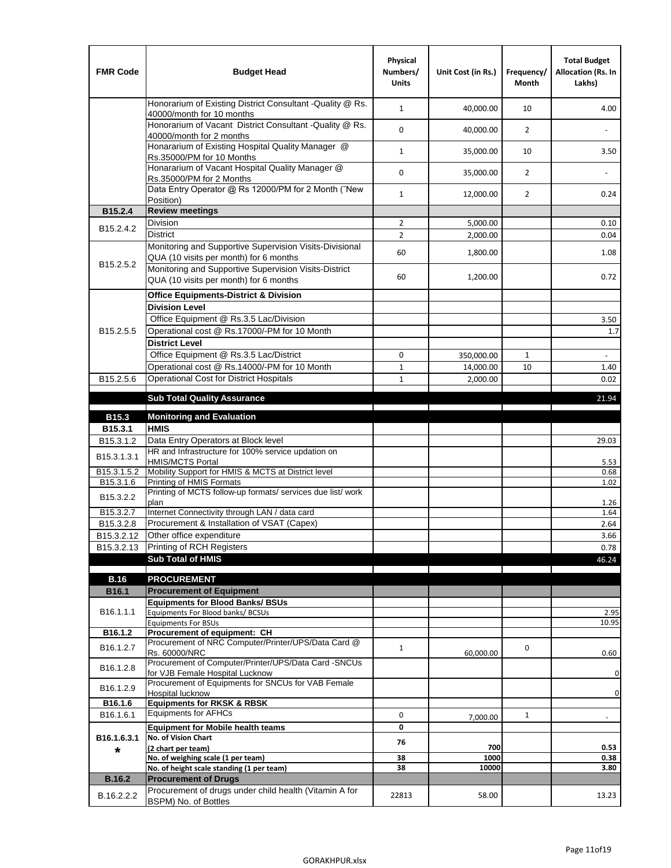| <b>FMR Code</b>         | <b>Budget Head</b>                                                                                | Physical<br>Numbers/<br><b>Units</b> | Unit Cost (in Rs.) | Frequency/<br>Month | <b>Total Budget</b><br>Allocation (Rs. In<br>Lakhs) |
|-------------------------|---------------------------------------------------------------------------------------------------|--------------------------------------|--------------------|---------------------|-----------------------------------------------------|
|                         | Honorarium of Existing District Consultant -Quality @ Rs.<br>40000/month for 10 months            | $\mathbf{1}$                         | 40,000.00          | 10                  | 4.00                                                |
|                         | Honorarium of Vacant District Consultant -Quality @ Rs.<br>40000/month for 2 months               | 0                                    | 40,000.00          | $\overline{2}$      |                                                     |
|                         | Honararium of Existing Hospital Quality Manager @<br>Rs.35000/PM for 10 Months                    | $\mathbf{1}$                         | 35,000.00          | 10                  | 3.50                                                |
|                         | Honararium of Vacant Hospital Quality Manager @<br>Rs.35000/PM for 2 Months                       | 0                                    | 35,000.00          | $\overline{2}$      |                                                     |
|                         | Data Entry Operator @ Rs 12000/PM for 2 Month ("New<br>Position)                                  | $\mathbf{1}$                         | 12,000.00          | $\overline{2}$      | 0.24                                                |
| B15.2.4                 | <b>Review meetings</b>                                                                            |                                      |                    |                     |                                                     |
| B <sub>15.2</sub> .4.2  | Division                                                                                          | $\overline{2}$                       | 5,000.00           |                     | 0.10                                                |
|                         | <b>District</b>                                                                                   | $\overline{2}$                       | 2,000.00           |                     | 0.04                                                |
|                         | Monitoring and Supportive Supervision Visits-Divisional<br>QUA (10 visits per month) for 6 months | 60                                   | 1,800.00           |                     | 1.08                                                |
| B15.2.5.2               | Monitoring and Supportive Supervision Visits-District<br>QUA (10 visits per month) for 6 months   | 60                                   | 1,200.00           |                     | 0.72                                                |
|                         | <b>Office Equipments-District &amp; Division</b>                                                  |                                      |                    |                     |                                                     |
|                         | <b>Division Level</b>                                                                             |                                      |                    |                     |                                                     |
|                         | Office Equipment @ Rs.3.5 Lac/Division                                                            |                                      |                    |                     | 3.50                                                |
| B15.2.5.5               | Operational cost @ Rs.17000/-PM for 10 Month                                                      |                                      |                    |                     | 1.7                                                 |
|                         | <b>District Level</b>                                                                             |                                      |                    |                     |                                                     |
|                         | Office Equipment @ Rs.3.5 Lac/District                                                            | 0                                    | 350,000.00         | 1                   | $\sim$                                              |
|                         | Operational cost @ Rs.14000/-PM for 10 Month                                                      | $\mathbf{1}$                         | 14,000.00          | 10                  | 1.40                                                |
| B15.2.5.6               | <b>Operational Cost for District Hospitals</b>                                                    | $\mathbf{1}$                         | 2,000.00           |                     | 0.02                                                |
|                         | <b>Sub Total Quality Assurance</b>                                                                |                                      |                    |                     | 21.94                                               |
|                         |                                                                                                   |                                      |                    |                     |                                                     |
| B15.3<br>B15.3.1        | <b>Monitoring and Evaluation</b><br><b>HMIS</b>                                                   |                                      |                    |                     |                                                     |
| B15.3.1.2               | Data Entry Operators at Block level                                                               |                                      |                    |                     | 29.03                                               |
| B15.3.1.3.1             | HR and Infrastructure for 100% service updation on<br><b>HMIS/MCTS Portal</b>                     |                                      |                    |                     | 5.53                                                |
| B <sub>15.3.1.5.2</sub> | Mobility Support for HMIS & MCTS at District level                                                |                                      |                    |                     | 0.68                                                |
| B15.3.1.6               | Printing of HMIS Formats                                                                          |                                      |                    |                     | 1.02                                                |
| B15.3.2.2               | Printing of MCTS follow-up formats/ services due list/ work<br>plan                               |                                      |                    |                     | 1.26                                                |
| B15.3.2.7               | Internet Connectivity through LAN / data card                                                     |                                      |                    |                     | 1.64                                                |
| B15.3.2.8               | Procurement & Installation of VSAT (Capex)                                                        |                                      |                    |                     | 2.64                                                |
| B15.3.2.12              | Other office expenditure                                                                          |                                      |                    |                     | 3.66                                                |
| B15.3.2.13              | Printing of RCH Registers                                                                         |                                      |                    |                     | 0.78                                                |
|                         | <b>Sub Total of HMIS</b>                                                                          |                                      |                    |                     | 46.24                                               |
| <b>B.16</b>             | <b>PROCUREMENT</b>                                                                                |                                      |                    |                     |                                                     |
| B16.1                   | <b>Procurement of Equipment</b>                                                                   |                                      |                    |                     |                                                     |
|                         | <b>Equipments for Blood Banks/ BSUs</b>                                                           |                                      |                    |                     |                                                     |
| B16.1.1.1               | Equipments For Blood banks/ BCSUs                                                                 |                                      |                    |                     | 2.95                                                |
|                         | <b>Equipments For BSUs</b>                                                                        |                                      |                    |                     | 10.95                                               |
| B16.1.2                 | Procurement of equipment: CH<br>Procurement of NRC Computer/Printer/UPS/Data Card @               |                                      |                    |                     |                                                     |
| B16.1.2.7               | Rs. 60000/NRC                                                                                     | $\mathbf{1}$                         | 60,000.00          | 0                   | 0.60                                                |
| B16.1.2.8               | Procurement of Computer/Printer/UPS/Data Card -SNCUs                                              |                                      |                    |                     |                                                     |
|                         | for VJB Female Hospital Lucknow                                                                   |                                      |                    |                     | $\pmb{0}$                                           |
| B16.1.2.9               | Procurement of Equipments for SNCUs for VAB Female<br>Hospital lucknow                            |                                      |                    |                     | $\pmb{0}$                                           |
| B16.1.6                 | <b>Equipments for RKSK &amp; RBSK</b>                                                             |                                      |                    |                     |                                                     |
| B16.1.6.1               | <b>Equipments for AFHCs</b>                                                                       | 0                                    | 7,000.00           | $\mathbf{1}$        |                                                     |
|                         | <b>Equipment for Mobile health teams</b>                                                          | 0                                    |                    |                     |                                                     |
| B16.1.6.3.1             | No. of Vision Chart                                                                               | 76                                   |                    |                     |                                                     |
| *                       | (2 chart per team)                                                                                |                                      | 700                |                     | 0.53                                                |
|                         | No. of weighing scale (1 per team)<br>No. of height scale standing (1 per team)                   | 38<br>38                             | 1000<br>10000      |                     | 0.38<br>3.80                                        |
| <b>B.16.2</b>           | <b>Procurement of Drugs</b>                                                                       |                                      |                    |                     |                                                     |
|                         | Procurement of drugs under child health (Vitamin A for                                            |                                      |                    |                     |                                                     |
| B.16.2.2.2              | BSPM) No. of Bottles                                                                              | 22813                                | 58.00              |                     | 13.23                                               |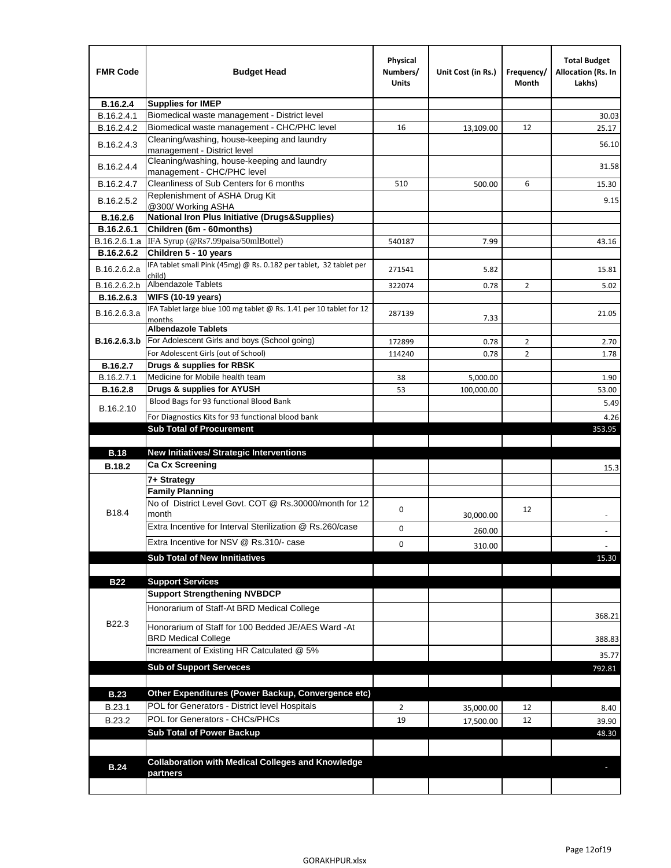| <b>FMR Code</b> | <b>Budget Head</b>                                                               | Physical<br>Numbers/<br>Units | Unit Cost (in Rs.) | Frequency/<br>Month | <b>Total Budget</b><br>Allocation (Rs. In<br>Lakhs) |
|-----------------|----------------------------------------------------------------------------------|-------------------------------|--------------------|---------------------|-----------------------------------------------------|
| B.16.2.4        | <b>Supplies for IMEP</b>                                                         |                               |                    |                     |                                                     |
| B.16.2.4.1      | Biomedical waste management - District level                                     |                               |                    |                     | 30.03                                               |
| B.16.2.4.2      | Biomedical waste management - CHC/PHC level                                      | 16                            | 13,109.00          | 12                  | 25.17                                               |
| B.16.2.4.3      | Cleaning/washing, house-keeping and laundry<br>management - District level       |                               |                    |                     | 56.10                                               |
| B.16.2.4.4      | Cleaning/washing, house-keeping and laundry<br>management - CHC/PHC level        |                               |                    |                     | 31.58                                               |
| B.16.2.4.7      | Cleanliness of Sub Centers for 6 months                                          | 510                           | 500.00             | 6                   | 15.30                                               |
| B.16.2.5.2      | Replenishment of ASHA Drug Kit<br>@300/ Working ASHA                             |                               |                    |                     | 9.15                                                |
| B.16.2.6        | <b>National Iron Plus Initiative (Drugs&amp;Supplies)</b>                        |                               |                    |                     |                                                     |
| B.16.2.6.1      | Children (6m - 60months)                                                         |                               |                    |                     |                                                     |
| B.16.2.6.1.a    | IFA Syrup (@Rs7.99paisa/50mlBottel)                                              | 540187                        | 7.99               |                     | 43.16                                               |
| B.16.2.6.2      | Children 5 - 10 years                                                            |                               |                    |                     |                                                     |
| B.16.2.6.2.a    | IFA tablet small Pink (45mg) @ Rs. 0.182 per tablet, 32 tablet per<br>child)     | 271541                        | 5.82               |                     | 15.81                                               |
| B.16.2.6.2.b    | <b>Albendazole Tablets</b>                                                       | 322074                        | 0.78               | 2                   | 5.02                                                |
| B.16.2.6.3      | <b>WIFS (10-19 years)</b>                                                        |                               |                    |                     |                                                     |
| B.16.2.6.3.a    | IFA Tablet large blue 100 mg tablet @ Rs. 1.41 per 10 tablet for 12<br>months    | 287139                        | 7.33               |                     | 21.05                                               |
|                 | <b>Albendazole Tablets</b>                                                       |                               |                    |                     |                                                     |
| B.16.2.6.3.b    | For Adolescent Girls and boys (School going)                                     | 172899                        | 0.78               | $\overline{2}$      | 2.70                                                |
|                 | For Adolescent Girls (out of School)                                             | 114240                        | 0.78               | $\overline{2}$      | 1.78                                                |
| B.16.2.7        | Drugs & supplies for RBSK                                                        |                               |                    |                     |                                                     |
| B.16.2.7.1      | Medicine for Mobile health team                                                  | 38                            | 5,000.00           |                     | 1.90                                                |
| <b>B.16.2.8</b> | Drugs & supplies for AYUSH                                                       | 53                            | 100,000.00         |                     | 53.00                                               |
| B.16.2.10       | Blood Bags for 93 functional Blood Bank                                          |                               |                    |                     | 5.49                                                |
|                 | For Diagnostics Kits for 93 functional blood bank                                |                               |                    |                     | 4.26                                                |
|                 | <b>Sub Total of Procurement</b>                                                  |                               |                    |                     | 353.95                                              |
| <b>B.18</b>     | <b>New Initiatives/ Strategic Interventions</b>                                  |                               |                    |                     |                                                     |
|                 | <b>Ca Cx Screening</b>                                                           |                               |                    |                     |                                                     |
| <b>B.18.2</b>   |                                                                                  |                               |                    |                     | 15.3                                                |
|                 | 7+ Strategy<br><b>Family Planning</b>                                            |                               |                    |                     |                                                     |
| B18.4           | No of District Level Govt. COT @ Rs.30000/month for 12<br>month                  | 0                             |                    | 12                  |                                                     |
|                 | Extra Incentive for Interval Sterilization @ Rs.260/case                         |                               | 30,000.00          |                     |                                                     |
|                 |                                                                                  | 0                             | 260.00             |                     |                                                     |
|                 | Extra Incentive for NSV @ Rs.310/- case                                          | 0                             | 310.00             |                     |                                                     |
|                 | <b>Sub Total of New Innitiatives</b>                                             |                               |                    |                     | 15.30                                               |
|                 |                                                                                  |                               |                    |                     |                                                     |
| <b>B22</b>      | <b>Support Services</b>                                                          |                               |                    |                     |                                                     |
|                 | <b>Support Strengthening NVBDCP</b>                                              |                               |                    |                     |                                                     |
| B22.3           | Honorarium of Staff-At BRD Medical College                                       |                               |                    |                     | 368.21                                              |
|                 | Honorarium of Staff for 100 Bedded JE/AES Ward -At<br><b>BRD Medical College</b> |                               |                    |                     | 388.83                                              |
|                 | Increament of Existing HR Catculated @ 5%                                        |                               |                    |                     | 35.77                                               |
|                 | <b>Sub of Support Serveces</b>                                                   |                               |                    |                     | 792.81                                              |
|                 |                                                                                  |                               |                    |                     |                                                     |
| <b>B.23</b>     | Other Expenditures (Power Backup, Convergence etc)                               |                               |                    |                     |                                                     |
| B.23.1          | POL for Generators - District level Hospitals                                    | $\overline{2}$                | 35,000.00          | 12                  | 8.40                                                |
| B.23.2          | POL for Generators - CHCs/PHCs                                                   | 19                            | 17,500.00          | 12                  | 39.90                                               |
|                 | <b>Sub Total of Power Backup</b>                                                 |                               |                    |                     | 48.30                                               |
|                 |                                                                                  |                               |                    |                     |                                                     |
| <b>B.24</b>     | <b>Collaboration with Medical Colleges and Knowledge</b>                         |                               |                    |                     |                                                     |
|                 | partners                                                                         |                               |                    |                     |                                                     |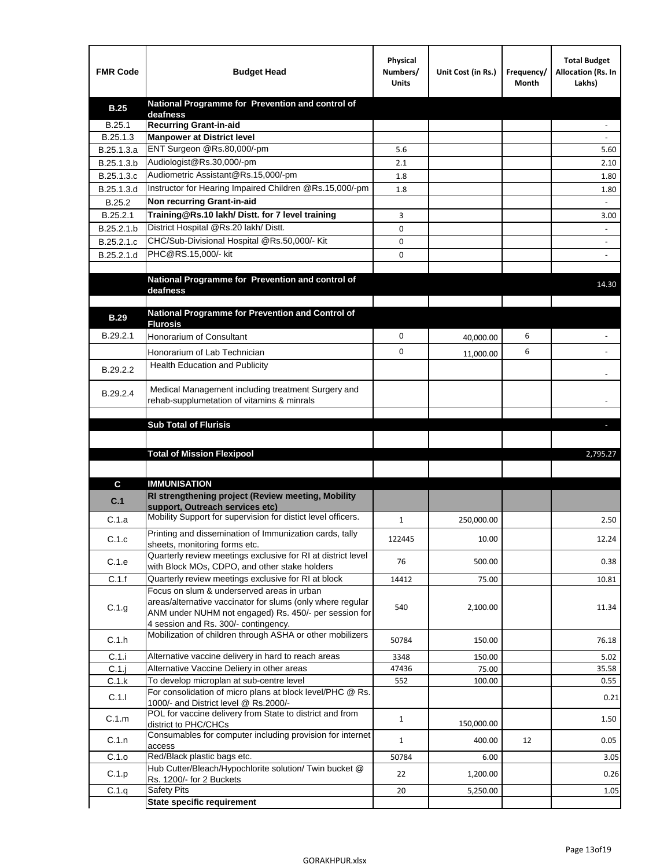| <b>FMR Code</b> | <b>Budget Head</b>                                                                                    | Physical<br>Numbers/<br><b>Units</b> | Unit Cost (in Rs.) | Frequency/<br>Month | <b>Total Budget</b><br>Allocation (Rs. In<br>Lakhs) |
|-----------------|-------------------------------------------------------------------------------------------------------|--------------------------------------|--------------------|---------------------|-----------------------------------------------------|
| <b>B.25</b>     | National Programme for Prevention and control of                                                      |                                      |                    |                     |                                                     |
| B.25.1          | deafness<br><b>Recurring Grant-in-aid</b>                                                             |                                      |                    |                     |                                                     |
| B.25.1.3        | <b>Manpower at District level</b>                                                                     |                                      |                    |                     |                                                     |
| B.25.1.3.a      | ENT Surgeon @Rs.80,000/-pm                                                                            | 5.6                                  |                    |                     | 5.60                                                |
| B.25.1.3.b      | Audiologist@Rs.30,000/-pm                                                                             | 2.1                                  |                    |                     | 2.10                                                |
| B.25.1.3.c      | Audiometric Assistant@Rs.15,000/-pm                                                                   | 1.8                                  |                    |                     | 1.80                                                |
| B.25.1.3.d      | Instructor for Hearing Impaired Children @Rs.15,000/-pm                                               | 1.8                                  |                    |                     | 1.80                                                |
| B.25.2          | Non recurring Grant-in-aid                                                                            |                                      |                    |                     |                                                     |
| B.25.2.1        | Training@Rs.10 lakh/ Distt. for 7 level training                                                      | 3                                    |                    |                     | 3.00                                                |
| B.25.2.1.b      | District Hospital @Rs.20 lakh/Distt.                                                                  | 0                                    |                    |                     |                                                     |
| B.25.2.1.c      | CHC/Sub-Divisional Hospital @Rs.50,000/- Kit                                                          | 0                                    |                    |                     |                                                     |
| B.25.2.1.d      | PHC@RS.15,000/- kit                                                                                   | 0                                    |                    |                     |                                                     |
|                 |                                                                                                       |                                      |                    |                     |                                                     |
|                 | National Programme for Prevention and control of<br>deafness                                          |                                      |                    |                     | 14.30                                               |
|                 |                                                                                                       |                                      |                    |                     |                                                     |
| <b>B.29</b>     | National Programme for Prevention and Control of                                                      |                                      |                    |                     |                                                     |
|                 | <b>Flurosis</b>                                                                                       |                                      |                    |                     |                                                     |
| B.29.2.1        | Honorarium of Consultant                                                                              | 0                                    | 40,000.00          | 6                   |                                                     |
|                 | Honorarium of Lab Technician                                                                          | 0                                    | 11,000.00          | 6                   |                                                     |
| B.29.2.2        | <b>Health Education and Publicity</b>                                                                 |                                      |                    |                     |                                                     |
|                 |                                                                                                       |                                      |                    |                     |                                                     |
| B.29.2.4        | Medical Management including treatment Surgery and<br>rehab-supplumetation of vitamins & minrals      |                                      |                    |                     |                                                     |
|                 |                                                                                                       |                                      |                    |                     |                                                     |
|                 | <b>Sub Total of Flurisis</b>                                                                          |                                      |                    |                     | ь                                                   |
|                 |                                                                                                       |                                      |                    |                     |                                                     |
|                 | <b>Total of Mission Flexipool</b>                                                                     |                                      |                    |                     | 2,795.27                                            |
|                 |                                                                                                       |                                      |                    |                     |                                                     |
| C               | <b>IMMUNISATION</b>                                                                                   |                                      |                    |                     |                                                     |
|                 | RI strengthening project (Review meeting, Mobility                                                    |                                      |                    |                     |                                                     |
| C.1             | support, Outreach services etc)                                                                       |                                      |                    |                     |                                                     |
| C.1.a           | Mobility Support for supervision for distict level officers.                                          | $\mathbf{1}$                         | 250,000.00         |                     | 2.50                                                |
| C.1.c           | Printing and dissemination of Immunization cards, tally                                               | 122445                               | 10.00              |                     | 12.24                                               |
|                 | sheets, monitoring forms etc.<br>Quarterly review meetings exclusive for RI at district level         |                                      |                    |                     |                                                     |
| C.1.e           | with Block MOs, CDPO, and other stake holders                                                         | 76                                   | 500.00             |                     | 0.38                                                |
| C.1.f           | Quarterly review meetings exclusive for RI at block                                                   | 14412                                | 75.00              |                     | 10.81                                               |
|                 | Focus on slum & underserved areas in urban                                                            |                                      |                    |                     |                                                     |
| C.1.g           | areas/alternative vaccinator for slums (only where regular                                            | 540                                  | 2,100.00           |                     | 11.34                                               |
|                 | ANM under NUHM not engaged) Rs. 450/- per session for<br>4 session and Rs. 300/- contingency.         |                                      |                    |                     |                                                     |
|                 | Mobilization of children through ASHA or other mobilizers                                             |                                      |                    |                     |                                                     |
| C.1.h           |                                                                                                       | 50784                                | 150.00             |                     | 76.18                                               |
| C.1.i           | Alternative vaccine delivery in hard to reach areas                                                   | 3348                                 | 150.00             |                     | 5.02                                                |
| $C.1$ .j        | Alternative Vaccine Deliery in other areas                                                            | 47436                                | 75.00              |                     | 35.58                                               |
| C.1.k           | To develop microplan at sub-centre level<br>For consolidation of micro plans at block level/PHC @ Rs. | 552                                  | 100.00             |                     | 0.55                                                |
| C.1.1           | 1000/- and District level @ Rs.2000/-                                                                 |                                      |                    |                     | 0.21                                                |
| C.1.m           | POL for vaccine delivery from State to district and from                                              | $\mathbf{1}$                         |                    |                     | 1.50                                                |
|                 | district to PHC/CHCs                                                                                  |                                      | 150,000.00         |                     |                                                     |
| C.1.n           | Consumables for computer including provision for internet<br>access                                   | $\mathbf{1}$                         | 400.00             | 12                  | 0.05                                                |
| C.1.o           | Red/Black plastic bags etc.                                                                           | 50784                                | 6.00               |                     | 3.05                                                |
| C.1.p           | Hub Cutter/Bleach/Hypochlorite solution/ Twin bucket @                                                | 22                                   | 1,200.00           |                     | 0.26                                                |
|                 | Rs. 1200/- for 2 Buckets                                                                              |                                      |                    |                     |                                                     |
| C.1.q           | <b>Safety Pits</b><br><b>State specific requirement</b>                                               | 20                                   | 5,250.00           |                     | 1.05                                                |
|                 |                                                                                                       |                                      |                    |                     |                                                     |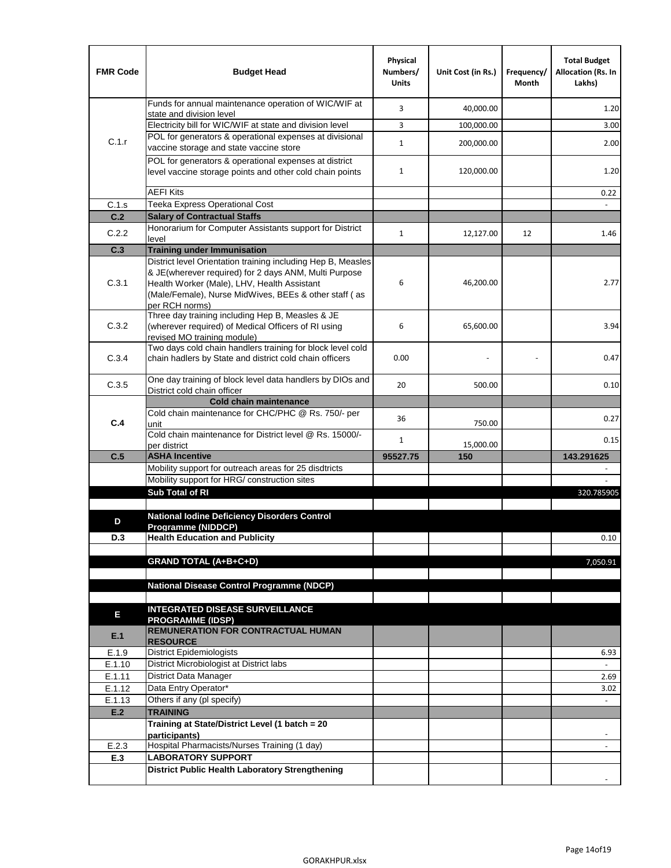| <b>FMR Code</b>  | <b>Budget Head</b>                                                                                                                                                   | Physical<br>Numbers/<br><b>Units</b> | Unit Cost (in Rs.) | Frequency/<br>Month | <b>Total Budget</b><br><b>Allocation (Rs. In</b><br>Lakhs) |
|------------------|----------------------------------------------------------------------------------------------------------------------------------------------------------------------|--------------------------------------|--------------------|---------------------|------------------------------------------------------------|
|                  | Funds for annual maintenance operation of WIC/WIF at<br>state and division level                                                                                     | 3                                    | 40,000.00          |                     | 1.20                                                       |
|                  | Electricity bill for WIC/WIF at state and division level                                                                                                             | 3                                    | 100,000.00         |                     | 3.00                                                       |
| C.1.r            | POL for generators & operational expenses at divisional                                                                                                              | $\mathbf{1}$                         | 200,000.00         |                     | 2.00                                                       |
|                  | vaccine storage and state vaccine store                                                                                                                              |                                      |                    |                     |                                                            |
|                  | POL for generators & operational expenses at district<br>level vaccine storage points and other cold chain points                                                    | $\mathbf{1}$                         | 120,000.00         |                     | 1.20                                                       |
|                  | <b>AEFI Kits</b>                                                                                                                                                     |                                      |                    |                     | 0.22                                                       |
| C.1.s            | Teeka Express Operational Cost                                                                                                                                       |                                      |                    |                     |                                                            |
| C.2              | <b>Salary of Contractual Staffs</b>                                                                                                                                  |                                      |                    |                     |                                                            |
| C.2.2            | Honorarium for Computer Assistants support for District<br>level                                                                                                     | $\mathbf{1}$                         | 12,127.00          | 12                  | 1.46                                                       |
| C.3              | <b>Training under Immunisation</b>                                                                                                                                   |                                      |                    |                     |                                                            |
| C.3.1            | District level Orientation training including Hep B, Measles<br>& JE(wherever required) for 2 days ANM, Multi Purpose<br>Health Worker (Male), LHV, Health Assistant | 6                                    | 46,200.00          |                     | 2.77                                                       |
|                  | (Male/Female), Nurse MidWives, BEEs & other staff (as<br>per RCH norms)                                                                                              |                                      |                    |                     |                                                            |
| C.3.2            | Three day training including Hep B, Measles & JE<br>(wherever required) of Medical Officers of RI using<br>revised MO training module)                               | 6                                    | 65,600.00          |                     | 3.94                                                       |
| C.3.4            | Two days cold chain handlers training for block level cold<br>chain hadlers by State and district cold chain officers                                                | 0.00                                 |                    |                     | 0.47                                                       |
| C.3.5            | One day training of block level data handlers by DIOs and<br>District cold chain officer                                                                             | 20                                   | 500.00             |                     | 0.10                                                       |
|                  | <b>Cold chain maintenance</b>                                                                                                                                        |                                      |                    |                     |                                                            |
| C.4              | Cold chain maintenance for CHC/PHC @ Rs. 750/- per<br>unit                                                                                                           | 36                                   | 750.00             |                     | 0.27                                                       |
|                  | Cold chain maintenance for District level @ Rs. 15000/-<br>per district                                                                                              | $\mathbf{1}$                         | 15,000.00          |                     | 0.15                                                       |
| C.5              | <b>ASHA Incentive</b>                                                                                                                                                | 95527.75                             | 150                |                     | 143.291625                                                 |
|                  | Mobility support for outreach areas for 25 disdtricts                                                                                                                |                                      |                    |                     |                                                            |
|                  | Mobility support for HRG/ construction sites                                                                                                                         |                                      |                    |                     |                                                            |
|                  | Sub Total of RI                                                                                                                                                      |                                      |                    |                     | 320.785905                                                 |
| D                | <b>National Iodine Deficiency Disorders Control</b>                                                                                                                  |                                      |                    |                     |                                                            |
| D.3              | Programme (NIDDCP)<br><b>Health Education and Publicity</b>                                                                                                          |                                      |                    |                     | 0.10                                                       |
|                  |                                                                                                                                                                      |                                      |                    |                     |                                                            |
|                  | <b>GRAND TOTAL (A+B+C+D)</b>                                                                                                                                         |                                      |                    |                     | 7,050.91                                                   |
|                  | <b>National Disease Control Programme (NDCP)</b>                                                                                                                     |                                      |                    |                     |                                                            |
|                  |                                                                                                                                                                      |                                      |                    |                     |                                                            |
| Е                | <b>INTEGRATED DISEASE SURVEILLANCE</b><br><b>PROGRAMME (IDSP)</b>                                                                                                    |                                      |                    |                     |                                                            |
| E.1              | REMUNERATION FOR CONTRACTUAL HUMAN<br><b>RESOURCE</b>                                                                                                                |                                      |                    |                     |                                                            |
| E.1.9            | District Epidemiologists                                                                                                                                             |                                      |                    |                     | 6.93                                                       |
| E.1.10           | District Microbiologist at District labs                                                                                                                             |                                      |                    |                     |                                                            |
| E.1.11           | District Data Manager<br>Data Entry Operator*                                                                                                                        |                                      |                    |                     | 2.69                                                       |
| E.1.12<br>E.1.13 | Others if any (pl specify)                                                                                                                                           |                                      |                    |                     | 3.02<br>$\omega$                                           |
| E.2              | <b>TRAINING</b>                                                                                                                                                      |                                      |                    |                     |                                                            |
|                  | Training at State/District Level (1 batch = 20                                                                                                                       |                                      |                    |                     |                                                            |
|                  | participants)                                                                                                                                                        |                                      |                    |                     |                                                            |
| E.2.3            | Hospital Pharmacists/Nurses Training (1 day)                                                                                                                         |                                      |                    |                     |                                                            |
| E.3              | <b>LABORATORY SUPPORT</b>                                                                                                                                            |                                      |                    |                     |                                                            |
|                  | <b>District Public Health Laboratory Strengthening</b>                                                                                                               |                                      |                    |                     |                                                            |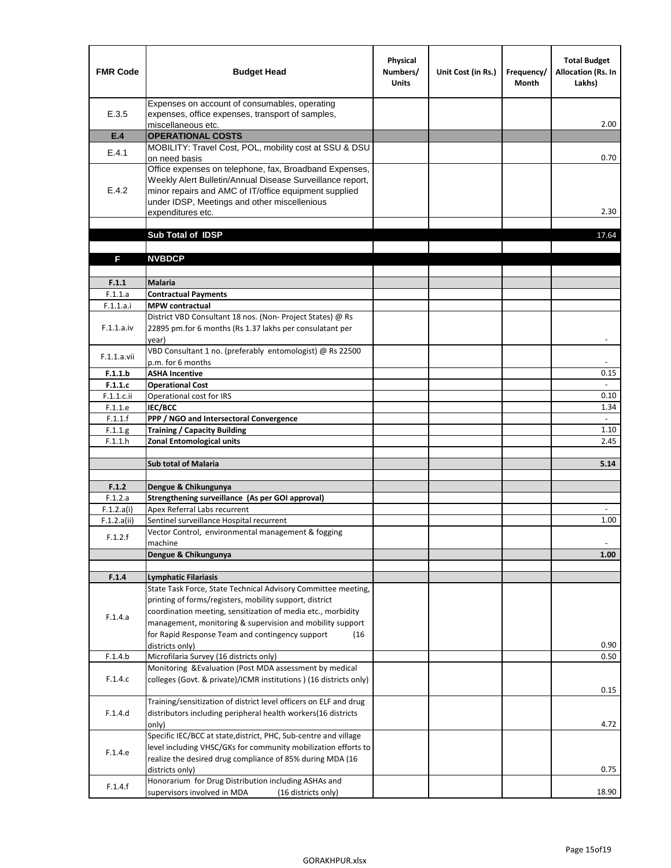| <b>FMR Code</b> | <b>Budget Head</b>                                                                                                                                                                                                                                | Physical<br>Numbers/<br><b>Units</b> | Unit Cost (in Rs.) | Frequency/<br><b>Month</b> | <b>Total Budget</b><br>Allocation (Rs. In<br>Lakhs) |
|-----------------|---------------------------------------------------------------------------------------------------------------------------------------------------------------------------------------------------------------------------------------------------|--------------------------------------|--------------------|----------------------------|-----------------------------------------------------|
| E.3.5           | Expenses on account of consumables, operating<br>expenses, office expenses, transport of samples,<br>miscellaneous etc.                                                                                                                           |                                      |                    |                            | 2.00                                                |
| E.4             | <b>OPERATIONAL COSTS</b>                                                                                                                                                                                                                          |                                      |                    |                            |                                                     |
| E.4.1           | MOBILITY: Travel Cost, POL, mobility cost at SSU & DSU<br>on need basis                                                                                                                                                                           |                                      |                    |                            | 0.70                                                |
| E.4.2           | Office expenses on telephone, fax, Broadband Expenses,<br>Weekly Alert Bulletin/Annual Disease Surveillance report,<br>minor repairs and AMC of IT/office equipment supplied<br>under IDSP, Meetings and other miscellenious<br>expenditures etc. |                                      |                    |                            | 2.30                                                |
|                 | Sub Total of IDSP                                                                                                                                                                                                                                 |                                      |                    |                            | 17.64                                               |
|                 |                                                                                                                                                                                                                                                   |                                      |                    |                            |                                                     |
| F               | <b>NVBDCP</b>                                                                                                                                                                                                                                     |                                      |                    |                            |                                                     |
| F.1.1           | <b>Malaria</b>                                                                                                                                                                                                                                    |                                      |                    |                            |                                                     |
| F.1.1.a         | <b>Contractual Payments</b>                                                                                                                                                                                                                       |                                      |                    |                            |                                                     |
| F.1.1.a.i       | <b>MPW</b> contractual                                                                                                                                                                                                                            |                                      |                    |                            |                                                     |
| F.1.1.a.iv      | District VBD Consultant 18 nos. (Non-Project States) @ Rs<br>22895 pm.for 6 months (Rs 1.37 lakhs per consulatant per<br>year)                                                                                                                    |                                      |                    |                            | $\overline{\phantom{a}}$                            |
| F.1.1.a.vii     | VBD Consultant 1 no. (preferably entomologist) @ Rs 22500<br>p.m. for 6 months                                                                                                                                                                    |                                      |                    |                            |                                                     |
| F.1.1.b         | <b>ASHA Incentive</b>                                                                                                                                                                                                                             |                                      |                    |                            | 0.15                                                |
| F.1.1.c         | <b>Operational Cost</b>                                                                                                                                                                                                                           |                                      |                    |                            | $\overline{\phantom{a}}$                            |
| F.1.1.c.ii      | Operational cost for IRS                                                                                                                                                                                                                          |                                      |                    |                            | 0.10                                                |
| F.1.1.e         | <b>IEC/BCC</b>                                                                                                                                                                                                                                    |                                      |                    |                            | 1.34                                                |
| F.1.1.f         | PPP / NGO and Intersectoral Convergence                                                                                                                                                                                                           |                                      |                    |                            | $\omega$                                            |
| F.1.1.g         | <b>Training / Capacity Building</b>                                                                                                                                                                                                               |                                      |                    |                            | 1.10                                                |
| F.1.1.h         | <b>Zonal Entomological units</b>                                                                                                                                                                                                                  |                                      |                    |                            | 2.45                                                |
|                 | <b>Sub total of Malaria</b>                                                                                                                                                                                                                       |                                      |                    |                            | 5.14                                                |
| F.1.2           | Dengue & Chikungunya                                                                                                                                                                                                                              |                                      |                    |                            |                                                     |
| F.1.2.a         | Strengthening surveillance (As per GOI approval)                                                                                                                                                                                                  |                                      |                    |                            |                                                     |
| F.1.2.a(i)      | Apex Referral Labs recurrent                                                                                                                                                                                                                      |                                      |                    |                            |                                                     |
| F.1.2.a(ii)     | Sentinel surveillance Hospital recurrent                                                                                                                                                                                                          |                                      |                    |                            | 1.00                                                |
| F.1.2.f         | Vector Control, environmental management & fogging<br>machine                                                                                                                                                                                     |                                      |                    |                            | $\overline{\phantom{m}}$                            |
|                 | Dengue & Chikungunya                                                                                                                                                                                                                              |                                      |                    |                            | 1.00                                                |
|                 |                                                                                                                                                                                                                                                   |                                      |                    |                            |                                                     |
| F.1.4           | Lymphatic Filariasis<br>State Task Force, State Technical Advisory Committee meeting,                                                                                                                                                             |                                      |                    |                            |                                                     |
|                 | printing of forms/registers, mobility support, district                                                                                                                                                                                           |                                      |                    |                            |                                                     |
|                 | coordination meeting, sensitization of media etc., morbidity                                                                                                                                                                                      |                                      |                    |                            |                                                     |
| F.1.4.a         | management, monitoring & supervision and mobility support                                                                                                                                                                                         |                                      |                    |                            |                                                     |
|                 | for Rapid Response Team and contingency support<br>(16)                                                                                                                                                                                           |                                      |                    |                            |                                                     |
|                 | districts only)                                                                                                                                                                                                                                   |                                      |                    |                            | 0.90                                                |
| F.1.4.b         | Microfilaria Survey (16 districts only)                                                                                                                                                                                                           |                                      |                    |                            | 0.50                                                |
| F.1.4.c         | Monitoring & Evaluation (Post MDA assessment by medical<br>colleges (Govt. & private)/ICMR institutions ) (16 districts only)                                                                                                                     |                                      |                    |                            |                                                     |
|                 | Training/sensitization of district level officers on ELF and drug                                                                                                                                                                                 |                                      |                    |                            | 0.15                                                |
| F.1.4.d         | distributors including peripheral health workers(16 districts                                                                                                                                                                                     |                                      |                    |                            |                                                     |
|                 | only)                                                                                                                                                                                                                                             |                                      |                    |                            | 4.72                                                |
|                 | Specific IEC/BCC at state, district, PHC, Sub-centre and village                                                                                                                                                                                  |                                      |                    |                            |                                                     |
| F.1.4.e         | level including VHSC/GKs for community mobilization efforts to                                                                                                                                                                                    |                                      |                    |                            |                                                     |
|                 | realize the desired drug compliance of 85% during MDA (16                                                                                                                                                                                         |                                      |                    |                            |                                                     |
|                 | districts only)                                                                                                                                                                                                                                   |                                      |                    |                            | 0.75                                                |
| F.1.4.f         | Honorarium for Drug Distribution including ASHAs and                                                                                                                                                                                              |                                      |                    |                            | 18.90                                               |
|                 | supervisors involved in MDA<br>(16 districts only)                                                                                                                                                                                                |                                      |                    |                            |                                                     |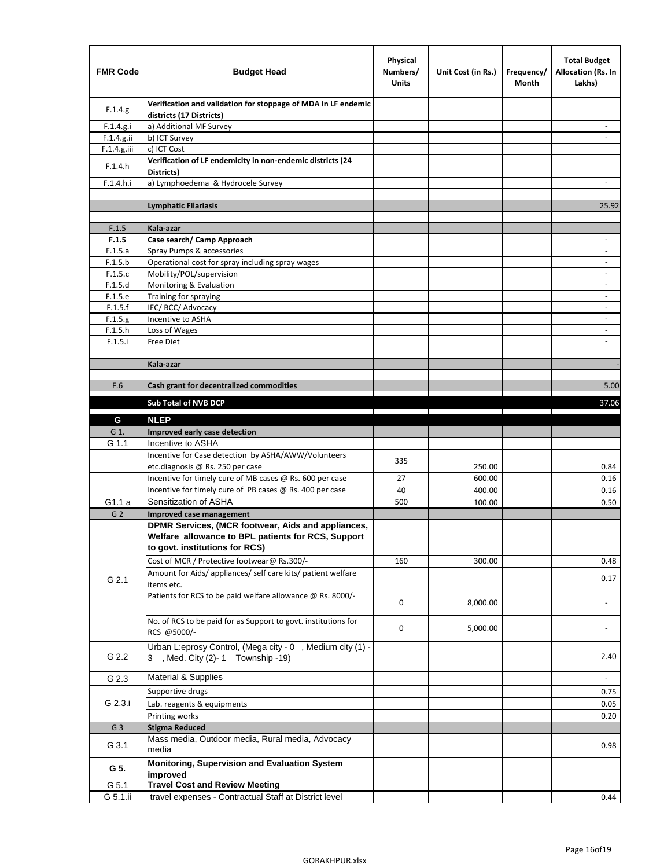| <b>FMR Code</b> | <b>Budget Head</b>                                                                                                                         | Physical<br>Numbers/<br><b>Units</b> | Unit Cost (in Rs.) | Frequency/<br>Month | <b>Total Budget</b><br>Allocation (Rs. In<br>Lakhs) |
|-----------------|--------------------------------------------------------------------------------------------------------------------------------------------|--------------------------------------|--------------------|---------------------|-----------------------------------------------------|
| F.1.4.g.        | Verification and validation for stoppage of MDA in LF endemic<br>districts (17 Districts)                                                  |                                      |                    |                     |                                                     |
| F.1.4.g.i       | a) Additional MF Survey                                                                                                                    |                                      |                    |                     |                                                     |
| F.1.4.g.ii      | b) ICT Survey                                                                                                                              |                                      |                    |                     |                                                     |
| $F.1.4.g.$ iii  | c) ICT Cost                                                                                                                                |                                      |                    |                     |                                                     |
| F.1.4.h         | Verification of LF endemicity in non-endemic districts (24<br>Districts)                                                                   |                                      |                    |                     |                                                     |
| F.1.4.h.i       | a) Lymphoedema & Hydrocele Survey                                                                                                          |                                      |                    |                     |                                                     |
|                 | <b>Lymphatic Filariasis</b>                                                                                                                |                                      |                    |                     | 25.92                                               |
|                 |                                                                                                                                            |                                      |                    |                     |                                                     |
| F.1.5           | Kala-azar                                                                                                                                  |                                      |                    |                     |                                                     |
| F.1.5           | Case search/ Camp Approach                                                                                                                 |                                      |                    |                     | $\overline{\phantom{a}}$                            |
| F.1.5.a         | Spray Pumps & accessories                                                                                                                  |                                      |                    |                     |                                                     |
| F.1.5.b         | Operational cost for spray including spray wages                                                                                           |                                      |                    |                     |                                                     |
| F.1.5.c         | Mobility/POL/supervision                                                                                                                   |                                      |                    |                     | $\blacksquare$                                      |
| F.1.5.d         | Monitoring & Evaluation                                                                                                                    |                                      |                    |                     |                                                     |
| F.1.5.e         | Training for spraying                                                                                                                      |                                      |                    |                     | $\overline{\phantom{a}}$                            |
| F.1.5.f         | IEC/BCC/Advocacy                                                                                                                           |                                      |                    |                     |                                                     |
| F.1.5.g         | Incentive to ASHA                                                                                                                          |                                      |                    |                     | $\overline{\phantom{a}}$                            |
| F.1.5.h         | Loss of Wages                                                                                                                              |                                      |                    |                     | $\overline{\phantom{a}}$                            |
| F.1.5.i         | Free Diet                                                                                                                                  |                                      |                    |                     |                                                     |
|                 | Kala-azar                                                                                                                                  |                                      |                    |                     |                                                     |
|                 |                                                                                                                                            |                                      |                    |                     |                                                     |
| F.6             | Cash grant for decentralized commodities                                                                                                   |                                      |                    |                     | 5.00                                                |
|                 |                                                                                                                                            |                                      |                    |                     |                                                     |
|                 | <b>Sub Total of NVB DCP</b>                                                                                                                |                                      |                    |                     | 37.06                                               |
| G               | <b>NLEP</b>                                                                                                                                |                                      |                    |                     |                                                     |
| G 1.            | Improved early case detection                                                                                                              |                                      |                    |                     |                                                     |
| G 1.1           | Incentive to ASHA                                                                                                                          |                                      |                    |                     |                                                     |
|                 | Incentive for Case detection by ASHA/AWW/Volunteers                                                                                        | 335                                  |                    |                     |                                                     |
|                 | etc.diagnosis @ Rs. 250 per case                                                                                                           |                                      | 250.00             |                     | 0.84                                                |
|                 | Incentive for timely cure of MB cases @ Rs. 600 per case                                                                                   | 27                                   | 600.00             |                     | 0.16                                                |
|                 | Incentive for timely cure of PB cases @ Rs. 400 per case                                                                                   | 40                                   | 400.00             |                     | 0.16                                                |
| G1.1 a          | Sensitization of ASHA                                                                                                                      | 500                                  | 100.00             |                     | 0.50                                                |
| G <sub>2</sub>  | Improved case management                                                                                                                   |                                      |                    |                     |                                                     |
|                 | DPMR Services, (MCR footwear, Aids and appliances,<br>Welfare allowance to BPL patients for RCS, Support<br>to govt. institutions for RCS) |                                      |                    |                     |                                                     |
|                 | Cost of MCR / Protective footwear@ Rs.300/-                                                                                                | 160                                  | 300.00             |                     | 0.48                                                |
| G 2.1           | Amount for Aids/ appliances/ self care kits/ patient welfare<br>items etc.                                                                 |                                      |                    |                     | 0.17                                                |
|                 | Patients for RCS to be paid welfare allowance @ Rs. 8000/-                                                                                 | 0                                    | 8,000.00           |                     |                                                     |
|                 | No. of RCS to be paid for as Support to govt. institutions for<br>RCS @5000/-                                                              | 0                                    | 5,000.00           |                     |                                                     |
| G 2.2           | Urban L:eprosy Control, (Mega city - 0, Medium city (1) -<br>3 , Med. City (2)-1 Township -19)                                             |                                      |                    |                     | 2.40                                                |
| G 2.3           | <b>Material &amp; Supplies</b>                                                                                                             |                                      |                    |                     | $\overline{\phantom{a}}$                            |
|                 | Supportive drugs                                                                                                                           |                                      |                    |                     | 0.75                                                |
| G 2.3.i         | Lab. reagents & equipments                                                                                                                 |                                      |                    |                     | 0.05                                                |
|                 | Printing works                                                                                                                             |                                      |                    |                     | 0.20                                                |
| G <sub>3</sub>  | <b>Stigma Reduced</b>                                                                                                                      |                                      |                    |                     |                                                     |
|                 | Mass media, Outdoor media, Rural media, Advocacy                                                                                           |                                      |                    |                     |                                                     |
| G 3.1           | media<br>Monitoring, Supervision and Evaluation System                                                                                     |                                      |                    |                     | 0.98                                                |
| G 5.            | improved                                                                                                                                   |                                      |                    |                     |                                                     |
| G 5.1           | <b>Travel Cost and Review Meeting</b>                                                                                                      |                                      |                    |                     |                                                     |
| G 5.1.ii        | travel expenses - Contractual Staff at District level                                                                                      |                                      |                    |                     | 0.44                                                |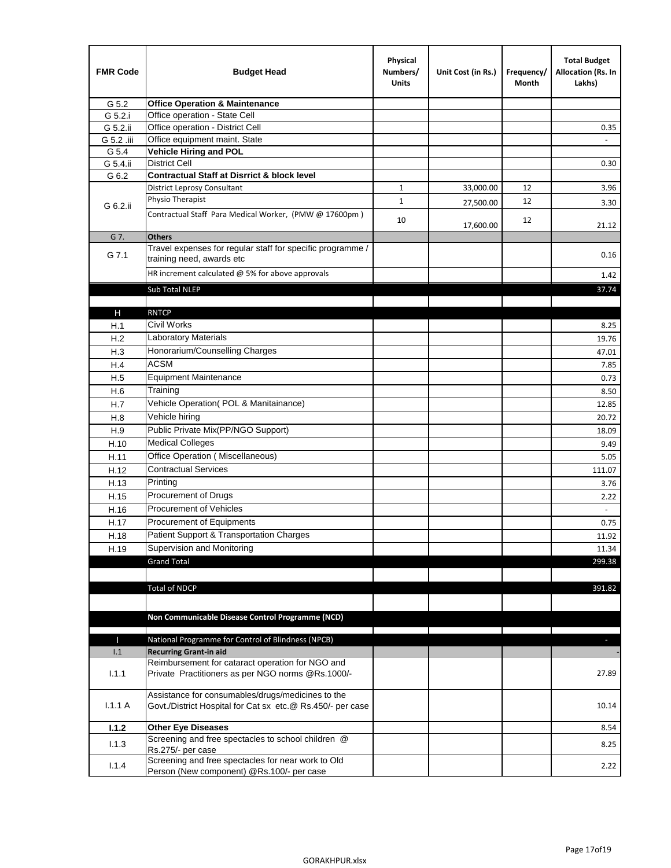| <b>FMR Code</b> | <b>Budget Head</b>                                                                                              | Physical<br>Numbers/<br><b>Units</b> | Unit Cost (in Rs.) | Frequency/<br>Month | <b>Total Budget</b><br>Allocation (Rs. In<br>Lakhs) |
|-----------------|-----------------------------------------------------------------------------------------------------------------|--------------------------------------|--------------------|---------------------|-----------------------------------------------------|
| G 5.2           | <b>Office Operation &amp; Maintenance</b>                                                                       |                                      |                    |                     |                                                     |
| G 5.2.i         | Office operation - State Cell                                                                                   |                                      |                    |                     |                                                     |
| G 5.2.ii        | Office operation - District Cell                                                                                |                                      |                    |                     | 0.35                                                |
| G 5.2 .iii      | Office equipment maint. State                                                                                   |                                      |                    |                     |                                                     |
| G 5.4           | Vehicle Hiring and POL                                                                                          |                                      |                    |                     |                                                     |
| G 5.4.ii        | <b>District Cell</b>                                                                                            |                                      |                    |                     | 0.30                                                |
| G 6.2           | <b>Contractual Staff at Disrrict &amp; block level</b>                                                          |                                      |                    |                     |                                                     |
|                 | <b>District Leprosy Consultant</b>                                                                              | 1                                    | 33,000.00          | 12                  | 3.96                                                |
| G 6.2.ii        | Physio Therapist                                                                                                | $\mathbf{1}$                         | 27,500.00          | 12                  | 3.30                                                |
|                 | Contractual Staff Para Medical Worker, (PMW @ 17600pm)                                                          | 10                                   | 17,600.00          | 12                  | 21.12                                               |
| G 7.            | <b>Others</b>                                                                                                   |                                      |                    |                     |                                                     |
| G 7.1           | Travel expenses for regular staff for specific programme /<br>training need, awards etc                         |                                      |                    |                     | 0.16                                                |
|                 | HR increment calculated $\omega$ 5% for above approvals                                                         |                                      |                    |                     | 1.42                                                |
|                 | Sub Total NLEP                                                                                                  |                                      |                    |                     | 37.74                                               |
|                 |                                                                                                                 |                                      |                    |                     |                                                     |
| Н               | <b>RNTCP</b>                                                                                                    |                                      |                    |                     |                                                     |
| H.1             | Civil Works                                                                                                     |                                      |                    |                     | 8.25                                                |
| H.2             | <b>Laboratory Materials</b>                                                                                     |                                      |                    |                     | 19.76                                               |
| H.3             | Honorarium/Counselling Charges                                                                                  |                                      |                    |                     | 47.01                                               |
| H.4             | <b>ACSM</b>                                                                                                     |                                      |                    |                     | 7.85                                                |
| H.5             | <b>Equipment Maintenance</b>                                                                                    |                                      |                    |                     | 0.73                                                |
| H.6             | Training                                                                                                        |                                      |                    |                     | 8.50                                                |
| H.7             | Vehicle Operation(POL & Manitainance)                                                                           |                                      |                    |                     | 12.85                                               |
| H.8             | Vehicle hiring                                                                                                  |                                      |                    |                     | 20.72                                               |
| H.9             | Public Private Mix(PP/NGO Support)                                                                              |                                      |                    |                     | 18.09                                               |
| H.10            | <b>Medical Colleges</b>                                                                                         |                                      |                    |                     | 9.49                                                |
| H.11            | Office Operation (Miscellaneous)                                                                                |                                      |                    |                     | 5.05                                                |
| H.12            | <b>Contractual Services</b>                                                                                     |                                      |                    |                     | 111.07                                              |
| H.13            | Printing                                                                                                        |                                      |                    |                     | 3.76                                                |
| H.15            | Procurement of Drugs                                                                                            |                                      |                    |                     | 2.22                                                |
| H.16            | Procurement of Vehicles                                                                                         |                                      |                    |                     | $\sim$                                              |
| H.17            | Procurement of Equipments                                                                                       |                                      |                    |                     | 0.75                                                |
| H.18            | Patient Support & Transportation Charges                                                                        |                                      |                    |                     | 11.92                                               |
| H.19            | Supervision and Monitoring                                                                                      |                                      |                    |                     | 11.34                                               |
|                 | <b>Grand Total</b>                                                                                              |                                      |                    |                     | 299.38                                              |
|                 |                                                                                                                 |                                      |                    |                     |                                                     |
|                 | <b>Total of NDCP</b>                                                                                            |                                      |                    |                     | 391.82                                              |
|                 | Non Communicable Disease Control Programme (NCD)                                                                |                                      |                    |                     |                                                     |
| Т               | National Programme for Control of Blindness (NPCB)                                                              |                                      |                    |                     | ÷.                                                  |
| 1.1             | <b>Recurring Grant-in aid</b>                                                                                   |                                      |                    |                     |                                                     |
|                 | Reimbursement for cataract operation for NGO and                                                                |                                      |                    |                     |                                                     |
| 1.1.1           | Private Practitioners as per NGO norms @Rs.1000/-                                                               |                                      |                    |                     | 27.89                                               |
| 1.1.1A          | Assistance for consumables/drugs/medicines to the<br>Govt./District Hospital for Cat sx etc.@ Rs.450/- per case |                                      |                    |                     | 10.14                                               |
| 1.1.2           | <b>Other Eye Diseases</b>                                                                                       |                                      |                    |                     | 8.54                                                |
| 1.1.3           | Screening and free spectacles to school children @                                                              |                                      |                    |                     | 8.25                                                |
|                 | Rs.275/- per case                                                                                               |                                      |                    |                     |                                                     |
| 1.1.4           | Screening and free spectacles for near work to Old<br>Person (New component) @Rs.100/- per case                 |                                      |                    |                     | 2.22                                                |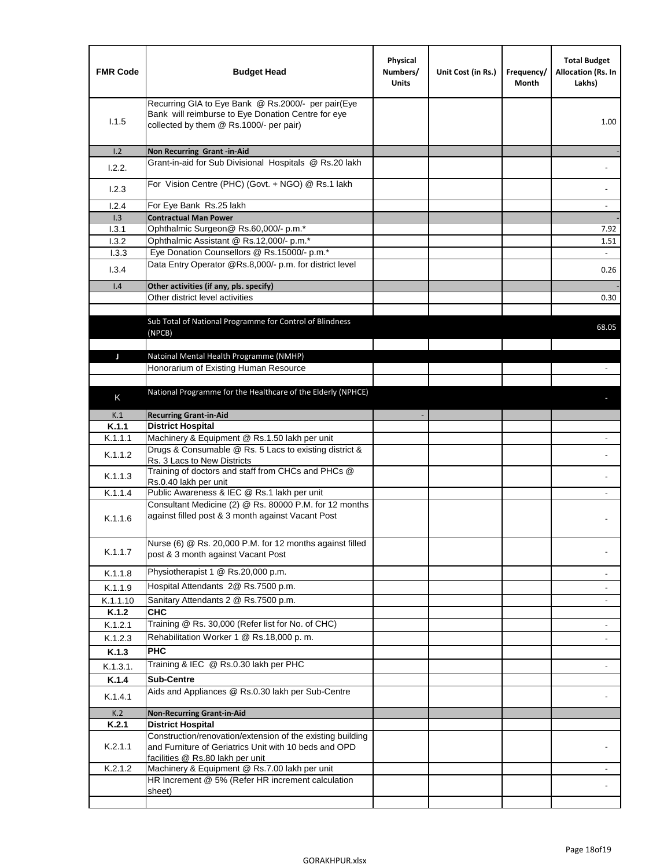| <b>FMR Code</b> | <b>Budget Head</b>                                                                                                                                      | Physical<br>Numbers/<br><b>Units</b> | Unit Cost (in Rs.) | Frequency/<br>Month | <b>Total Budget</b><br>Allocation (Rs. In<br>Lakhs) |
|-----------------|---------------------------------------------------------------------------------------------------------------------------------------------------------|--------------------------------------|--------------------|---------------------|-----------------------------------------------------|
| 1.1.5           | Recurring GIA to Eye Bank @ Rs.2000/- per pair(Eye<br>Bank will reimburse to Eye Donation Centre for eye<br>collected by them @ Rs.1000/- per pair)     |                                      |                    |                     | 1.00                                                |
| 1.2             | Non Recurring Grant -in-Aid<br>Grant-in-aid for Sub Divisional Hospitals @ Rs.20 lakh                                                                   |                                      |                    |                     |                                                     |
| 1.2.2.          |                                                                                                                                                         |                                      |                    |                     |                                                     |
| 1.2.3           | For Vision Centre (PHC) (Govt. + NGO) @ Rs.1 lakh                                                                                                       |                                      |                    |                     |                                                     |
| 1.2.4           | For Eye Bank Rs.25 lakh                                                                                                                                 |                                      |                    |                     |                                                     |
| 1.3             | <b>Contractual Man Power</b>                                                                                                                            |                                      |                    |                     |                                                     |
| 1.3.1<br>1.3.2  | Ophthalmic Surgeon@ Rs.60,000/- p.m.*<br>Ophthalmic Assistant @ Rs.12,000/- p.m.*                                                                       |                                      |                    |                     | 7.92                                                |
| 1.3.3           | Eye Donation Counsellors @ Rs.15000/- p.m.*                                                                                                             |                                      |                    |                     | 1.51<br>$\omega$                                    |
|                 | Data Entry Operator @Rs.8,000/- p.m. for district level                                                                                                 |                                      |                    |                     |                                                     |
| 1.3.4           |                                                                                                                                                         |                                      |                    |                     | 0.26                                                |
| 1.4             | Other activities (if any, pls. specify)                                                                                                                 |                                      |                    |                     |                                                     |
|                 | Other district level activities                                                                                                                         |                                      |                    |                     | 0.30                                                |
|                 | Sub Total of National Programme for Control of Blindness<br>(NPCB)                                                                                      |                                      |                    |                     | 68.05                                               |
| J               | Natoinal Mental Health Programme (NMHP)                                                                                                                 |                                      |                    |                     |                                                     |
|                 | Honorarium of Existing Human Resource                                                                                                                   |                                      |                    |                     |                                                     |
|                 |                                                                                                                                                         |                                      |                    |                     |                                                     |
| K               | National Programme for the Healthcare of the Elderly (NPHCE)                                                                                            |                                      |                    |                     |                                                     |
|                 |                                                                                                                                                         |                                      |                    |                     |                                                     |
| K.1             | <b>Recurring Grant-in-Aid</b>                                                                                                                           |                                      |                    |                     |                                                     |
| K.1.1           | <b>District Hospital</b><br>Machinery & Equipment @ Rs.1.50 lakh per unit                                                                               |                                      |                    |                     |                                                     |
| K.1.1.1         | Drugs & Consumable @ Rs. 5 Lacs to existing district &                                                                                                  |                                      |                    |                     |                                                     |
| K.1.1.2         | Rs. 3 Lacs to New Districts                                                                                                                             |                                      |                    |                     |                                                     |
| K.1.1.3         | Training of doctors and staff from CHCs and PHCs @<br>Rs.0.40 lakh per unit                                                                             |                                      |                    |                     |                                                     |
| K.1.1.4         | Public Awareness & IEC @ Rs.1 lakh per unit                                                                                                             |                                      |                    |                     |                                                     |
| K.1.1.6         | Consultant Medicine (2) @ Rs. 80000 P.M. for 12 months<br>against filled post & 3 month against Vacant Post                                             |                                      |                    |                     |                                                     |
| K.1.1.7         | Nurse (6) @ Rs. 20,000 P.M. for 12 months against filled<br>post & 3 month against Vacant Post                                                          |                                      |                    |                     |                                                     |
| K.1.1.8         | Physiotherapist 1 @ Rs.20,000 p.m.                                                                                                                      |                                      |                    |                     |                                                     |
| K.1.1.9         | Hospital Attendants 2@ Rs.7500 p.m.                                                                                                                     |                                      |                    |                     |                                                     |
| K.1.1.10        | Sanitary Attendants 2 @ Rs.7500 p.m.                                                                                                                    |                                      |                    |                     | $\overline{\phantom{a}}$                            |
| K.1.2           | <b>CHC</b>                                                                                                                                              |                                      |                    |                     |                                                     |
| K.1.2.1         | Training @ Rs. 30,000 (Refer list for No. of CHC)                                                                                                       |                                      |                    |                     |                                                     |
| K.1.2.3         | Rehabilitation Worker 1 @ Rs.18,000 p.m.                                                                                                                |                                      |                    |                     |                                                     |
| K.1.3           | <b>PHC</b>                                                                                                                                              |                                      |                    |                     |                                                     |
| K.1.3.1.        | Training & IEC @ Rs.0.30 lakh per PHC                                                                                                                   |                                      |                    |                     |                                                     |
| K.1.4           | <b>Sub-Centre</b>                                                                                                                                       |                                      |                    |                     |                                                     |
| K.1.4.1         | Aids and Appliances @ Rs.0.30 lakh per Sub-Centre                                                                                                       |                                      |                    |                     |                                                     |
| K.2             | <b>Non-Recurring Grant-in-Aid</b>                                                                                                                       |                                      |                    |                     |                                                     |
| K.2.1           | <b>District Hospital</b>                                                                                                                                |                                      |                    |                     |                                                     |
| K.2.1.1         | Construction/renovation/extension of the existing building<br>and Furniture of Geriatrics Unit with 10 beds and OPD<br>facilities @ Rs.80 lakh per unit |                                      |                    |                     |                                                     |
| K.2.1.2         | Machinery & Equipment @ Rs.7.00 lakh per unit                                                                                                           |                                      |                    |                     |                                                     |
|                 | HR Increment @ 5% (Refer HR increment calculation                                                                                                       |                                      |                    |                     |                                                     |
|                 | sheet)                                                                                                                                                  |                                      |                    |                     |                                                     |